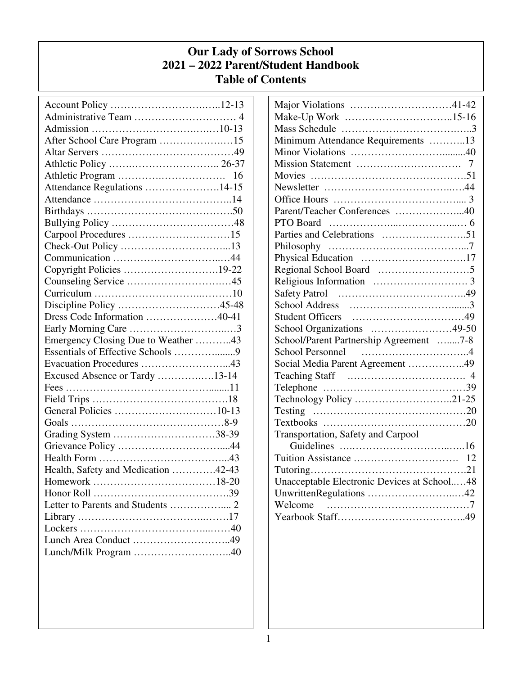# **Our Lady of Sorrows School 2021 – 2022 Parent/Student Handbook Table of Contents**

| After School Care Program 15        |    |
|-------------------------------------|----|
|                                     |    |
|                                     |    |
|                                     | 16 |
| Attendance Regulations 14-15        |    |
|                                     |    |
|                                     |    |
|                                     |    |
|                                     |    |
|                                     |    |
|                                     |    |
| Copyright Policies 19-22            |    |
|                                     |    |
|                                     |    |
| Discipline Policy 45-48             |    |
| Dress Code Information 40-41        |    |
|                                     |    |
| Emergency Closing Due to Weather 43 |    |
| Essentials of Effective Schools 9   |    |
|                                     |    |
| Excused Absence or Tardy 13-14      |    |
|                                     |    |
|                                     |    |
|                                     |    |
|                                     |    |
| Grading System 38-39                |    |
|                                     |    |
|                                     |    |
| Health, Safety and Medication 42-43 |    |
|                                     |    |
|                                     |    |
|                                     |    |
|                                     |    |
|                                     |    |
|                                     |    |
|                                     |    |
|                                     |    |

| Major Violations 41-42                                                     |
|----------------------------------------------------------------------------|
| Make-Up Work 15-16                                                         |
|                                                                            |
| Minimum Attendance Requirements 13                                         |
|                                                                            |
|                                                                            |
|                                                                            |
|                                                                            |
|                                                                            |
| Parent/Teacher Conferences 40                                              |
|                                                                            |
|                                                                            |
|                                                                            |
|                                                                            |
|                                                                            |
|                                                                            |
|                                                                            |
|                                                                            |
|                                                                            |
| School Organizations 49-50                                                 |
| School/Parent Partnership Agreement 7-8                                    |
| <b>School Personnel</b>                                                    |
| Social Media Parent Agreement 49                                           |
|                                                                            |
| Telephone $\dots\dots\dots\dots\dots\dots\dots\dots\dots\dots\dots\dots39$ |
| Technology Policy 21-25                                                    |
|                                                                            |
| Textbooks $\dots\dots\dots\dots\dots\dots\dots\dots\dots\dots\dots\dots20$ |
| <b>Transportation, Safety and Carpool</b>                                  |
|                                                                            |
|                                                                            |
|                                                                            |
| Unacceptable Electronic Devices at School48                                |
|                                                                            |
|                                                                            |
|                                                                            |
|                                                                            |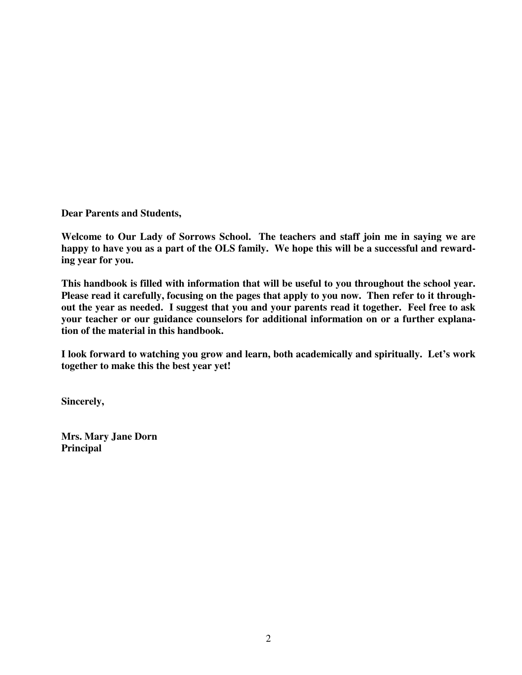**Dear Parents and Students,** 

**Welcome to Our Lady of Sorrows School. The teachers and staff join me in saying we are happy to have you as a part of the OLS family. We hope this will be a successful and rewarding year for you.** 

**This handbook is filled with information that will be useful to you throughout the school year. Please read it carefully, focusing on the pages that apply to you now. Then refer to it throughout the year as needed. I suggest that you and your parents read it together. Feel free to ask your teacher or our guidance counselors for additional information on or a further explanation of the material in this handbook.** 

**I look forward to watching you grow and learn, both academically and spiritually. Let's work together to make this the best year yet!** 

**Sincerely,** 

**Mrs. Mary Jane Dorn Principal**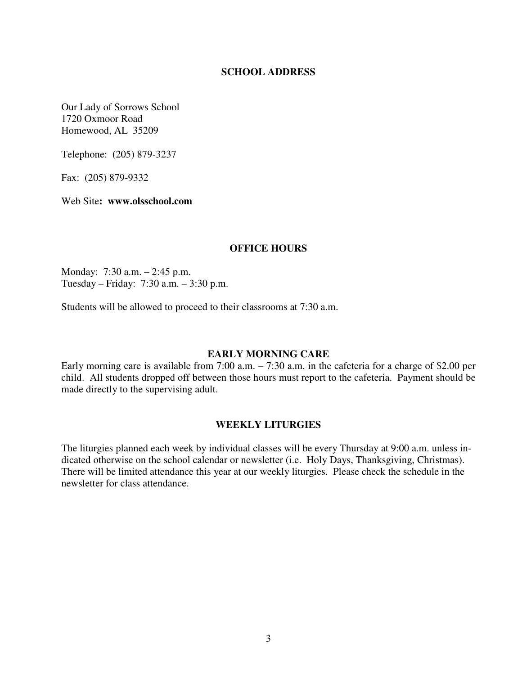### **SCHOOL ADDRESS**

Our Lady of Sorrows School 1720 Oxmoor Road Homewood, AL 35209

Telephone: (205) 879-3237

Fax: (205) 879-9332

Web Site**: www.olsschool.com** 

### **OFFICE HOURS**

Monday: 7:30 a.m. – 2:45 p.m. Tuesday – Friday: 7:30 a.m. – 3:30 p.m.

Students will be allowed to proceed to their classrooms at 7:30 a.m.

#### **EARLY MORNING CARE**

Early morning care is available from 7:00 a.m. – 7:30 a.m. in the cafeteria for a charge of \$2.00 per child. All students dropped off between those hours must report to the cafeteria. Payment should be made directly to the supervising adult.

#### **WEEKLY LITURGIES**

The liturgies planned each week by individual classes will be every Thursday at 9:00 a.m. unless indicated otherwise on the school calendar or newsletter (i.e. Holy Days, Thanksgiving, Christmas). There will be limited attendance this year at our weekly liturgies. Please check the schedule in the newsletter for class attendance.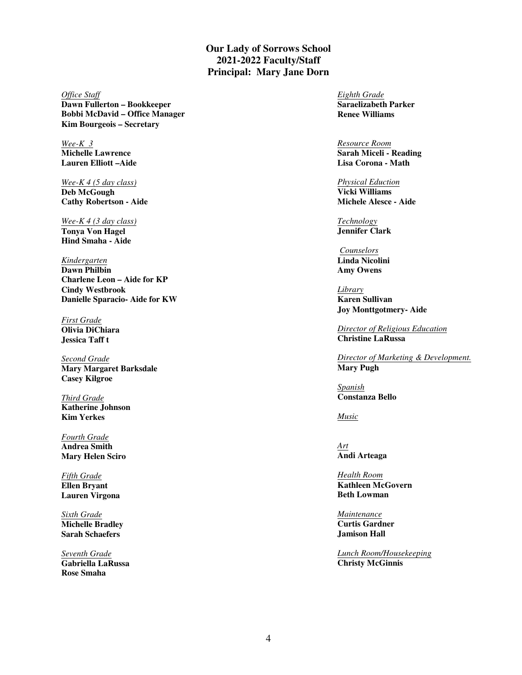**Our Lady of Sorrows School 2021-2022 Faculty/Staff Principal: Mary Jane Dorn** 

*Office Staff* **Dawn Fullerton – Bookkeeper Bobbi McDavid – Office Manager Kim Bourgeois – Secretary**

*Wee-K 3* **Michelle Lawrence Lauren Elliott –Aide** 

*Wee-K 4 (5 day class)* **Deb McGough Cathy Robertson - Aide** 

*Wee-K 4 (3 day class)* **Tonya Von Hagel Hind Smaha - Aide** 

*Kindergarten* **Dawn Philbin Charlene Leon – Aide for KP Cindy Westbrook Danielle Sparacio- Aide for KW**

*First Grade* **Olivia DiChiara Jessica Taff t**

*Second Grade*  **Mary Margaret Barksdale Casey Kilgroe** 

*Third Grade* **Katherine Johnson Kim Yerkes** 

*Fourth Grade* **Andrea Smith Mary Helen Sciro** 

*Fifth Grade* **Ellen Bryant Lauren Virgona** 

*Sixth Grade* **Michelle Bradley Sarah Schaefers** 

*Seventh Grade* **Gabriella LaRussa Rose Smaha** 

*Eighth Grade* **Saraelizabeth Parker Renee Williams** 

*Resource Room* **Sarah Miceli - Reading Lisa Corona - Math** 

*Physical Eduction* **Vicki Williams Michele Alesce - Aide** 

*Technology* **Jennifer Clark**

*Counselors* **Linda Nicolini Amy Owens**

*Library* **Karen Sullivan Joy Monttgotmery- Aide** 

*Director of Religious Education* **Christine LaRussa** 

*Director of Marketing & Development.* **Mary Pugh** 

*Spanish* **Constanza Bello** 

*Music*

*Art* **Andi Arteaga**

*Health Room* **Kathleen McGovern Beth Lowman** 

*Maintenance* **Curtis Gardner Jamison Hall** 

*Lunch Room/Housekeeping* **Christy McGinnis**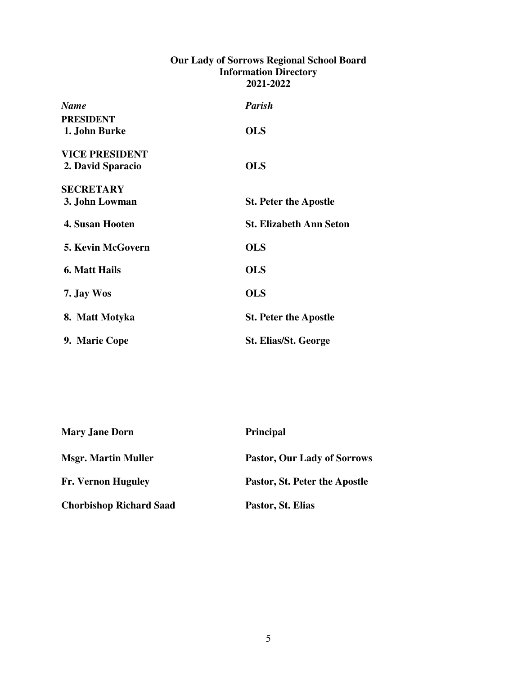# **Our Lady of Sorrows Regional School Board Information Directory 2021-2022**

| <b>Name</b>              | <b>Parish</b>                  |
|--------------------------|--------------------------------|
| <b>PRESIDENT</b>         |                                |
| 1. John Burke            | <b>OLS</b>                     |
| <b>VICE PRESIDENT</b>    |                                |
| 2. David Sparacio        | <b>OLS</b>                     |
| <b>SECRETARY</b>         |                                |
| 3. John Lowman           | <b>St. Peter the Apostle</b>   |
| <b>4. Susan Hooten</b>   | <b>St. Elizabeth Ann Seton</b> |
| <b>5. Kevin McGovern</b> | <b>OLS</b>                     |
| 6. Matt Hails            | <b>OLS</b>                     |
| 7. Jay Wos               | <b>OLS</b>                     |
| 8. Matt Motyka           | <b>St. Peter the Apostle</b>   |
| 9. Marie Cope            | <b>St. Elias/St. George</b>    |

| <b>Mary Jane Dorn</b>          | <b>Principal</b>              |
|--------------------------------|-------------------------------|
| <b>Msgr. Martin Muller</b>     | Pastor, Our Lady of Sorrows   |
| <b>Fr. Vernon Huguley</b>      | Pastor, St. Peter the Apostle |
| <b>Chorbishop Richard Saad</b> | Pastor, St. Elias             |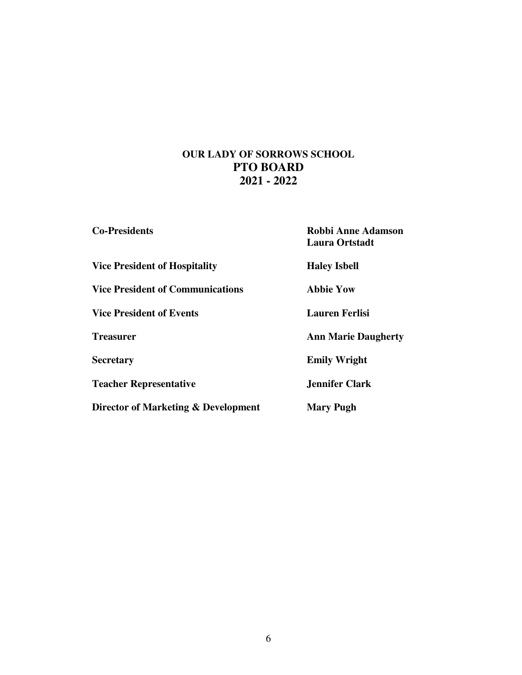# **OUR LADY OF SORROWS SCHOOL PTO BOARD 2021 - 2022**

| <b>Co-Presidents</b>                    | <b>Robbi Anne Adamson</b><br>Laura Ortstadt |
|-----------------------------------------|---------------------------------------------|
| <b>Vice President of Hospitality</b>    | <b>Haley Isbell</b>                         |
| <b>Vice President of Communications</b> | Abbie Yow                                   |
| <b>Vice President of Events</b>         | <b>Lauren Ferlisi</b>                       |
| <b>Treasurer</b>                        | <b>Ann Marie Daugherty</b>                  |
| <b>Secretary</b>                        | <b>Emily Wright</b>                         |
| <b>Teacher Representative</b>           | <b>Jennifer Clark</b>                       |
| Director of Marketing & Development     | <b>Mary Pugh</b>                            |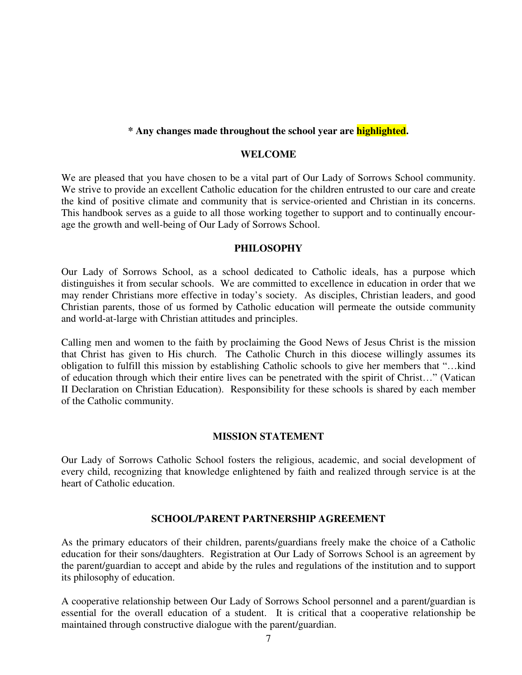## **\* Any changes made throughout the school year are highlighted.**

#### **WELCOME**

We are pleased that you have chosen to be a vital part of Our Lady of Sorrows School community. We strive to provide an excellent Catholic education for the children entrusted to our care and create the kind of positive climate and community that is service-oriented and Christian in its concerns. This handbook serves as a guide to all those working together to support and to continually encourage the growth and well-being of Our Lady of Sorrows School.

## **PHILOSOPHY**

Our Lady of Sorrows School, as a school dedicated to Catholic ideals, has a purpose which distinguishes it from secular schools. We are committed to excellence in education in order that we may render Christians more effective in today's society. As disciples, Christian leaders, and good Christian parents, those of us formed by Catholic education will permeate the outside community and world-at-large with Christian attitudes and principles.

Calling men and women to the faith by proclaiming the Good News of Jesus Christ is the mission that Christ has given to His church. The Catholic Church in this diocese willingly assumes its obligation to fulfill this mission by establishing Catholic schools to give her members that "…kind of education through which their entire lives can be penetrated with the spirit of Christ…" (Vatican II Declaration on Christian Education). Responsibility for these schools is shared by each member of the Catholic community.

#### **MISSION STATEMENT**

Our Lady of Sorrows Catholic School fosters the religious, academic, and social development of every child, recognizing that knowledge enlightened by faith and realized through service is at the heart of Catholic education.

#### **SCHOOL/PARENT PARTNERSHIP AGREEMENT**

As the primary educators of their children, parents/guardians freely make the choice of a Catholic education for their sons/daughters. Registration at Our Lady of Sorrows School is an agreement by the parent/guardian to accept and abide by the rules and regulations of the institution and to support its philosophy of education.

A cooperative relationship between Our Lady of Sorrows School personnel and a parent/guardian is essential for the overall education of a student. It is critical that a cooperative relationship be maintained through constructive dialogue with the parent/guardian.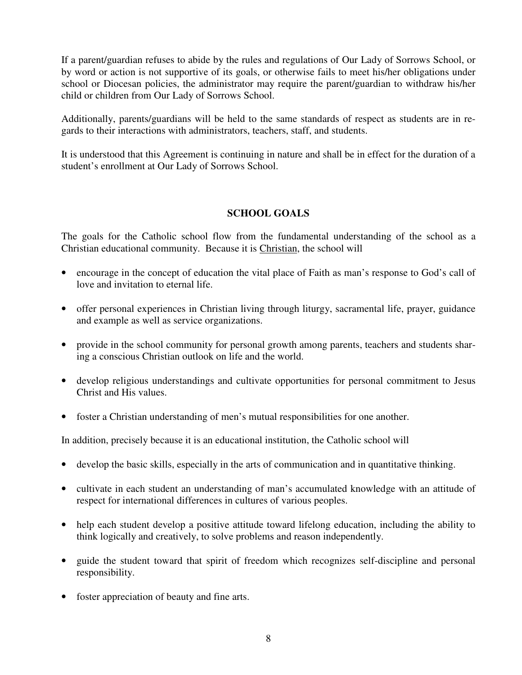If a parent/guardian refuses to abide by the rules and regulations of Our Lady of Sorrows School, or by word or action is not supportive of its goals, or otherwise fails to meet his/her obligations under school or Diocesan policies, the administrator may require the parent/guardian to withdraw his/her child or children from Our Lady of Sorrows School.

Additionally, parents/guardians will be held to the same standards of respect as students are in regards to their interactions with administrators, teachers, staff, and students.

It is understood that this Agreement is continuing in nature and shall be in effect for the duration of a student's enrollment at Our Lady of Sorrows School.

# **SCHOOL GOALS**

The goals for the Catholic school flow from the fundamental understanding of the school as a Christian educational community. Because it is Christian, the school will

- encourage in the concept of education the vital place of Faith as man's response to God's call of love and invitation to eternal life.
- offer personal experiences in Christian living through liturgy, sacramental life, prayer, guidance and example as well as service organizations.
- provide in the school community for personal growth among parents, teachers and students sharing a conscious Christian outlook on life and the world.
- develop religious understandings and cultivate opportunities for personal commitment to Jesus Christ and His values.
- foster a Christian understanding of men's mutual responsibilities for one another.

In addition, precisely because it is an educational institution, the Catholic school will

- develop the basic skills, especially in the arts of communication and in quantitative thinking.
- cultivate in each student an understanding of man's accumulated knowledge with an attitude of respect for international differences in cultures of various peoples.
- help each student develop a positive attitude toward lifelong education, including the ability to think logically and creatively, to solve problems and reason independently.
- guide the student toward that spirit of freedom which recognizes self-discipline and personal responsibility.
- foster appreciation of beauty and fine arts.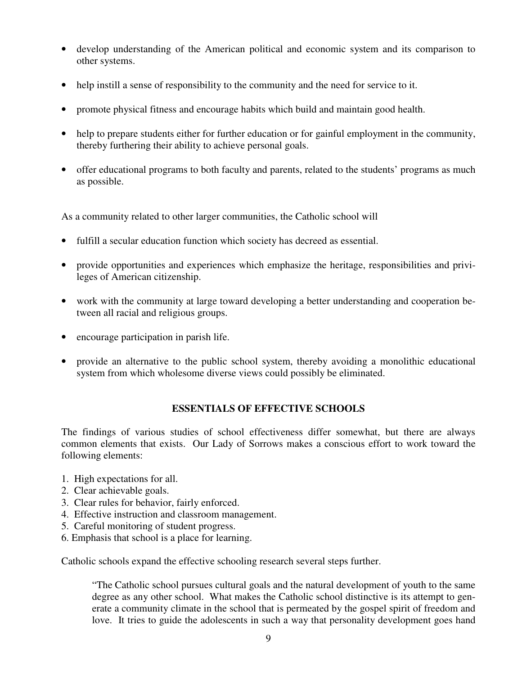- develop understanding of the American political and economic system and its comparison to other systems.
- help instill a sense of responsibility to the community and the need for service to it.
- promote physical fitness and encourage habits which build and maintain good health.
- help to prepare students either for further education or for gainful employment in the community, thereby furthering their ability to achieve personal goals.
- offer educational programs to both faculty and parents, related to the students' programs as much as possible.

As a community related to other larger communities, the Catholic school will

- fulfill a secular education function which society has decreed as essential.
- provide opportunities and experiences which emphasize the heritage, responsibilities and privileges of American citizenship.
- work with the community at large toward developing a better understanding and cooperation between all racial and religious groups.
- encourage participation in parish life.
- provide an alternative to the public school system, thereby avoiding a monolithic educational system from which wholesome diverse views could possibly be eliminated.

# **ESSENTIALS OF EFFECTIVE SCHOOLS**

The findings of various studies of school effectiveness differ somewhat, but there are always common elements that exists. Our Lady of Sorrows makes a conscious effort to work toward the following elements:

- 1. High expectations for all.
- 2. Clear achievable goals.
- 3. Clear rules for behavior, fairly enforced.
- 4. Effective instruction and classroom management.
- 5. Careful monitoring of student progress.
- 6. Emphasis that school is a place for learning.

Catholic schools expand the effective schooling research several steps further.

"The Catholic school pursues cultural goals and the natural development of youth to the same degree as any other school. What makes the Catholic school distinctive is its attempt to generate a community climate in the school that is permeated by the gospel spirit of freedom and love. It tries to guide the adolescents in such a way that personality development goes hand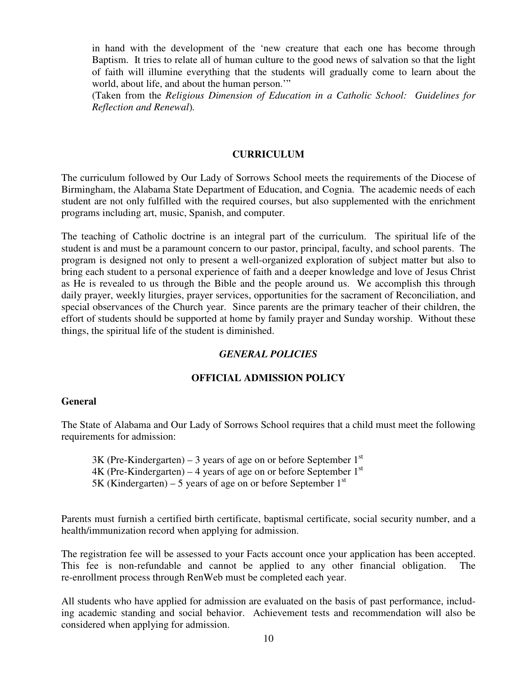in hand with the development of the 'new creature that each one has become through Baptism. It tries to relate all of human culture to the good news of salvation so that the light of faith will illumine everything that the students will gradually come to learn about the world, about life, and about the human person."

(Taken from the *Religious Dimension of Education in a Catholic School: Guidelines for Reflection and Renewal*)*.* 

# **CURRICULUM**

The curriculum followed by Our Lady of Sorrows School meets the requirements of the Diocese of Birmingham, the Alabama State Department of Education, and Cognia. The academic needs of each student are not only fulfilled with the required courses, but also supplemented with the enrichment programs including art, music, Spanish, and computer.

The teaching of Catholic doctrine is an integral part of the curriculum. The spiritual life of the student is and must be a paramount concern to our pastor, principal, faculty, and school parents. The program is designed not only to present a well-organized exploration of subject matter but also to bring each student to a personal experience of faith and a deeper knowledge and love of Jesus Christ as He is revealed to us through the Bible and the people around us. We accomplish this through daily prayer, weekly liturgies, prayer services, opportunities for the sacrament of Reconciliation, and special observances of the Church year. Since parents are the primary teacher of their children, the effort of students should be supported at home by family prayer and Sunday worship. Without these things, the spiritual life of the student is diminished.

# *GENERAL POLICIES*

# **OFFICIAL ADMISSION POLICY**

# **General**

The State of Alabama and Our Lady of Sorrows School requires that a child must meet the following requirements for admission:

 $3K$  (Pre-Kindergarten) – 3 years of age on or before September 1<sup>st</sup>  $4K$  (Pre-Kindergarten) – 4 years of age on or before September 1<sup>st</sup> 5K (Kindergarten) – 5 years of age on or before September  $1<sup>st</sup>$ 

Parents must furnish a certified birth certificate, baptismal certificate, social security number, and a health/immunization record when applying for admission.

The registration fee will be assessed to your Facts account once your application has been accepted. This fee is non-refundable and cannot be applied to any other financial obligation. The re-enrollment process through RenWeb must be completed each year.

All students who have applied for admission are evaluated on the basis of past performance, including academic standing and social behavior. Achievement tests and recommendation will also be considered when applying for admission.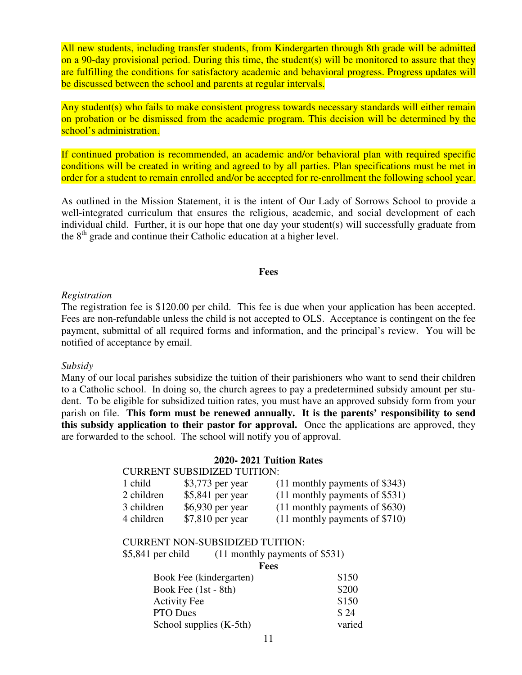All new students, including transfer students, from Kindergarten through 8th grade will be admitted on a 90-day provisional period. During this time, the student(s) will be monitored to assure that they are fulfilling the conditions for satisfactory academic and behavioral progress. Progress updates will be discussed between the school and parents at regular intervals.

Any student(s) who fails to make consistent progress towards necessary standards will either remain on probation or be dismissed from the academic program. This decision will be determined by the school's administration.

If continued probation is recommended, an academic and/or behavioral plan with required specific conditions will be created in writing and agreed to by all parties. Plan specifications must be met in order for a student to remain enrolled and/or be accepted for re-enrollment the following school year.

As outlined in the Mission Statement, it is the intent of Our Lady of Sorrows School to provide a well-integrated curriculum that ensures the religious, academic, and social development of each individual child. Further, it is our hope that one day your student(s) will successfully graduate from the 8<sup>th</sup> grade and continue their Catholic education at a higher level.

#### **Fees**

#### *Registration*

The registration fee is \$120.00 per child. This fee is due when your application has been accepted. Fees are non-refundable unless the child is not accepted to OLS. Acceptance is contingent on the fee payment, submittal of all required forms and information, and the principal's review. You will be notified of acceptance by email.

#### *Subsidy*

Many of our local parishes subsidize the tuition of their parishioners who want to send their children to a Catholic school. In doing so, the church agrees to pay a predetermined subsidy amount per student. To be eligible for subsidized tuition rates, you must have an approved subsidy form from your parish on file. **This form must be renewed annually. It is the parents' responsibility to send this subsidy application to their pastor for approval.** Once the applications are approved, they are forwarded to the school. The school will notify you of approval.

#### **2020- 2021 Tuition Rates**

#### CURRENT SUBSIDIZED TUITION:

| 1 child    | $$3,773$ per year | $(11$ monthly payments of \$343) |
|------------|-------------------|----------------------------------|
| 2 children | $$5,841$ per year | $(11$ monthly payments of \$531) |
| 3 children | $$6,930$ per year | $(11$ monthly payments of \$630) |
| 4 children | \$7,810 per year  | $(11$ monthly payments of \$710) |

#### CURRENT NON-SUBSIDIZED TUITION:

| $$5,841$ per child     | $(11$ monthly payments of \$531) |       |
|------------------------|----------------------------------|-------|
|                        | <b>Fees</b>                      |       |
|                        | Book Fee (kindergarten)          | \$150 |
| Book Fee $(1st - 8th)$ |                                  | \$200 |
| <b>Activity Fee</b>    |                                  | \$150 |

PTO Dues \$24 School supplies (K-5th) varied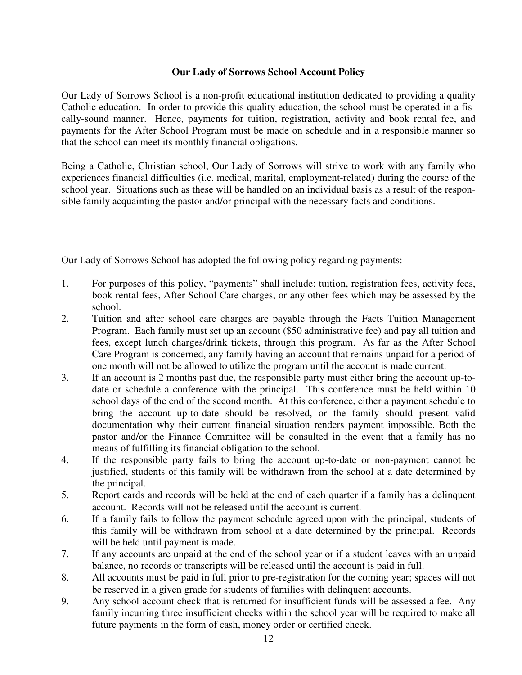# **Our Lady of Sorrows School Account Policy**

Our Lady of Sorrows School is a non-profit educational institution dedicated to providing a quality Catholic education. In order to provide this quality education, the school must be operated in a fiscally-sound manner. Hence, payments for tuition, registration, activity and book rental fee, and payments for the After School Program must be made on schedule and in a responsible manner so that the school can meet its monthly financial obligations.

Being a Catholic, Christian school, Our Lady of Sorrows will strive to work with any family who experiences financial difficulties (i.e. medical, marital, employment-related) during the course of the school year. Situations such as these will be handled on an individual basis as a result of the responsible family acquainting the pastor and/or principal with the necessary facts and conditions.

Our Lady of Sorrows School has adopted the following policy regarding payments:

- 1. For purposes of this policy, "payments" shall include: tuition, registration fees, activity fees, book rental fees, After School Care charges, or any other fees which may be assessed by the school.
- 2. Tuition and after school care charges are payable through the Facts Tuition Management Program. Each family must set up an account (\$50 administrative fee) and pay all tuition and fees, except lunch charges/drink tickets, through this program. As far as the After School Care Program is concerned, any family having an account that remains unpaid for a period of one month will not be allowed to utilize the program until the account is made current.
- 3. If an account is 2 months past due, the responsible party must either bring the account up-todate or schedule a conference with the principal. This conference must be held within 10 school days of the end of the second month. At this conference, either a payment schedule to bring the account up-to-date should be resolved, or the family should present valid documentation why their current financial situation renders payment impossible. Both the pastor and/or the Finance Committee will be consulted in the event that a family has no means of fulfilling its financial obligation to the school.
- 4. If the responsible party fails to bring the account up-to-date or non-payment cannot be justified, students of this family will be withdrawn from the school at a date determined by the principal.
- 5. Report cards and records will be held at the end of each quarter if a family has a delinquent account. Records will not be released until the account is current.
- 6. If a family fails to follow the payment schedule agreed upon with the principal, students of this family will be withdrawn from school at a date determined by the principal. Records will be held until payment is made.
- 7. If any accounts are unpaid at the end of the school year or if a student leaves with an unpaid balance, no records or transcripts will be released until the account is paid in full.
- 8. All accounts must be paid in full prior to pre-registration for the coming year; spaces will not be reserved in a given grade for students of families with delinquent accounts.
- 9. Any school account check that is returned for insufficient funds will be assessed a fee. Any family incurring three insufficient checks within the school year will be required to make all future payments in the form of cash, money order or certified check.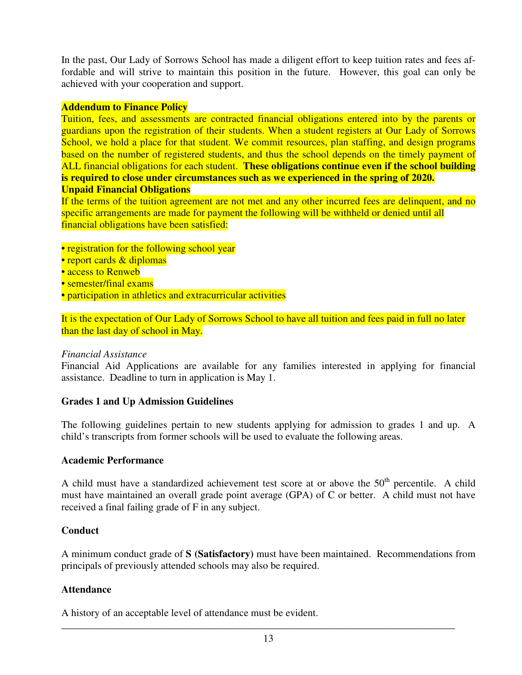In the past, Our Lady of Sorrows School has made a diligent effort to keep tuition rates and fees affordable and will strive to maintain this position in the future. However, this goal can only be achieved with your cooperation and support.

# **Addendum to Finance Policy**

Tuition, fees, and assessments are contracted financial obligations entered into by the parents or guardians upon the registration of their students. When a student registers at Our Lady of Sorrows School, we hold a place for that student. We commit resources, plan staffing, and design programs based on the number of registered students, and thus the school depends on the timely payment of ALL financial obligations for each student. **These obligations continue even if the school building is required to close under circumstances such as we experienced in the spring of 2020. Unpaid Financial Obligations** 

If the terms of the tuition agreement are not met and any other incurred fees are delinquent, and no specific arrangements are made for payment the following will be withheld or denied until all financial obligations have been satisfied:

- registration for the following school year
- report cards & diplomas
- access to Renweb
- semester/final exams
- participation in athletics and extracurricular activities

It is the expectation of Our Lady of Sorrows School to have all tuition and fees paid in full no later than the last day of school in May.

# *Financial Assistance*

Financial Aid Applications are available for any families interested in applying for financial assistance. Deadline to turn in application is May 1.

# **Grades 1 and Up Admission Guidelines**

The following guidelines pertain to new students applying for admission to grades 1 and up. A child's transcripts from former schools will be used to evaluate the following areas.

# **Academic Performance**

A child must have a standardized achievement test score at or above the  $50<sup>th</sup>$  percentile. A child must have maintained an overall grade point average (GPA) of C or better. A child must not have received a final failing grade of F in any subject.

# **Conduct**

A minimum conduct grade of **S (Satisfactory)** must have been maintained. Recommendations from principals of previously attended schools may also be required.

# **Attendance**

A history of an acceptable level of attendance must be evident.

\_\_\_\_\_\_\_\_\_\_\_\_\_\_\_\_\_\_\_\_\_\_\_\_\_\_\_\_\_\_\_\_\_\_\_\_\_\_\_\_\_\_\_\_\_\_\_\_\_\_\_\_\_\_\_\_\_\_\_\_\_\_\_\_\_\_\_\_\_\_\_\_\_\_\_\_\_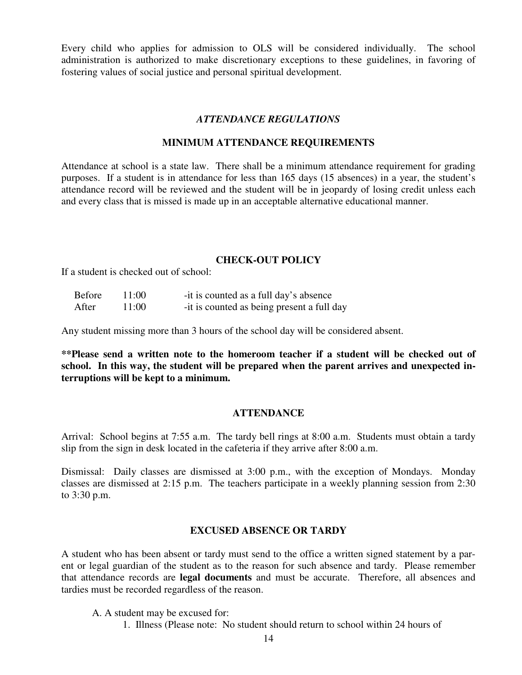Every child who applies for admission to OLS will be considered individually. The school administration is authorized to make discretionary exceptions to these guidelines, in favoring of fostering values of social justice and personal spiritual development.

#### *ATTENDANCE REGULATIONS*

#### **MINIMUM ATTENDANCE REQUIREMENTS**

Attendance at school is a state law. There shall be a minimum attendance requirement for grading purposes. If a student is in attendance for less than 165 days (15 absences) in a year, the student's attendance record will be reviewed and the student will be in jeopardy of losing credit unless each and every class that is missed is made up in an acceptable alternative educational manner.

### **CHECK-OUT POLICY**

If a student is checked out of school:

| <b>Before</b> | -11:00 | -it is counted as a full day's absence     |
|---------------|--------|--------------------------------------------|
| After         | 11:00  | -it is counted as being present a full day |

Any student missing more than 3 hours of the school day will be considered absent.

**\*\*Please send a written note to the homeroom teacher if a student will be checked out of school. In this way, the student will be prepared when the parent arrives and unexpected interruptions will be kept to a minimum.** 

#### **ATTENDANCE**

Arrival: School begins at 7:55 a.m. The tardy bell rings at 8:00 a.m. Students must obtain a tardy slip from the sign in desk located in the cafeteria if they arrive after 8:00 a.m.

Dismissal: Daily classes are dismissed at 3:00 p.m., with the exception of Mondays. Monday classes are dismissed at 2:15 p.m. The teachers participate in a weekly planning session from 2:30 to 3:30 p.m.

#### **EXCUSED ABSENCE OR TARDY**

A student who has been absent or tardy must send to the office a written signed statement by a parent or legal guardian of the student as to the reason for such absence and tardy. Please remember that attendance records are **legal documents** and must be accurate. Therefore, all absences and tardies must be recorded regardless of the reason.

A. A student may be excused for:

1. Illness (Please note: No student should return to school within 24 hours of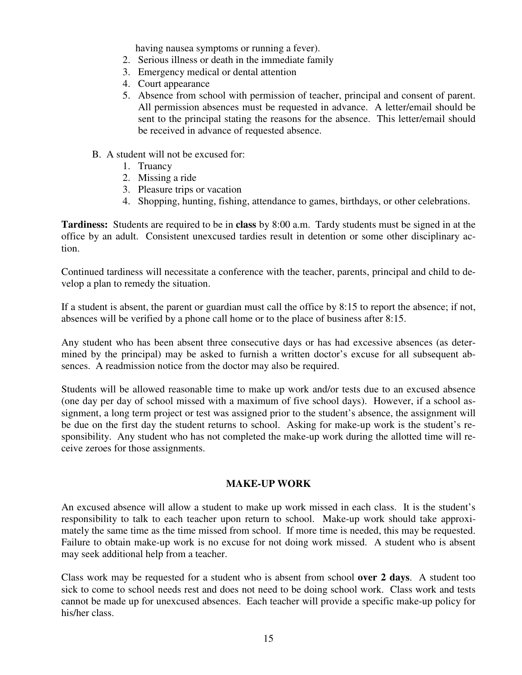having nausea symptoms or running a fever).

- 2. Serious illness or death in the immediate family
- 3. Emergency medical or dental attention
- 4. Court appearance
- 5. Absence from school with permission of teacher, principal and consent of parent. All permission absences must be requested in advance. A letter/email should be sent to the principal stating the reasons for the absence. This letter/email should be received in advance of requested absence.
- B. A student will not be excused for:
	- 1. Truancy
	- 2. Missing a ride
	- 3. Pleasure trips or vacation
	- 4. Shopping, hunting, fishing, attendance to games, birthdays, or other celebrations.

**Tardiness:** Students are required to be in **class** by 8:00 a.m. Tardy students must be signed in at the office by an adult. Consistent unexcused tardies result in detention or some other disciplinary action.

Continued tardiness will necessitate a conference with the teacher, parents, principal and child to develop a plan to remedy the situation.

If a student is absent, the parent or guardian must call the office by 8:15 to report the absence; if not, absences will be verified by a phone call home or to the place of business after 8:15.

Any student who has been absent three consecutive days or has had excessive absences (as determined by the principal) may be asked to furnish a written doctor's excuse for all subsequent absences. A readmission notice from the doctor may also be required.

Students will be allowed reasonable time to make up work and/or tests due to an excused absence (one day per day of school missed with a maximum of five school days). However, if a school assignment, a long term project or test was assigned prior to the student's absence, the assignment will be due on the first day the student returns to school. Asking for make-up work is the student's responsibility. Any student who has not completed the make-up work during the allotted time will receive zeroes for those assignments.

# **MAKE-UP WORK**

An excused absence will allow a student to make up work missed in each class. It is the student's responsibility to talk to each teacher upon return to school. Make-up work should take approximately the same time as the time missed from school. If more time is needed, this may be requested. Failure to obtain make-up work is no excuse for not doing work missed. A student who is absent may seek additional help from a teacher.

Class work may be requested for a student who is absent from school **over 2 days**. A student too sick to come to school needs rest and does not need to be doing school work. Class work and tests cannot be made up for unexcused absences. Each teacher will provide a specific make-up policy for his/her class.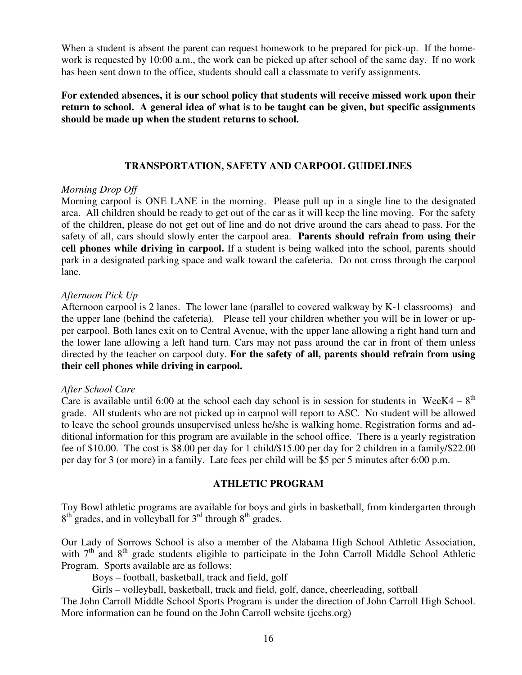When a student is absent the parent can request homework to be prepared for pick-up. If the homework is requested by 10:00 a.m., the work can be picked up after school of the same day. If no work has been sent down to the office, students should call a classmate to verify assignments.

**For extended absences, it is our school policy that students will receive missed work upon their return to school. A general idea of what is to be taught can be given, but specific assignments should be made up when the student returns to school.** 

# **TRANSPORTATION, SAFETY AND CARPOOL GUIDELINES**

#### *Morning Drop Off*

Morning carpool is ONE LANE in the morning. Please pull up in a single line to the designated area. All children should be ready to get out of the car as it will keep the line moving. For the safety of the children, please do not get out of line and do not drive around the cars ahead to pass. For the safety of all, cars should slowly enter the carpool area. **Parents should refrain from using their cell phones while driving in carpool.** If a student is being walked into the school, parents should park in a designated parking space and walk toward the cafeteria. Do not cross through the carpool lane.

#### *Afternoon Pick Up*

Afternoon carpool is 2 lanes. The lower lane (parallel to covered walkway by K-1 classrooms) and the upper lane (behind the cafeteria). Please tell your children whether you will be in lower or upper carpool. Both lanes exit on to Central Avenue, with the upper lane allowing a right hand turn and the lower lane allowing a left hand turn. Cars may not pass around the car in front of them unless directed by the teacher on carpool duty. **For the safety of all, parents should refrain from using their cell phones while driving in carpool.** 

#### *After School Care*

Care is available until 6:00 at the school each day school is in session for students in WeeK4 –  $8<sup>th</sup>$ grade. All students who are not picked up in carpool will report to ASC. No student will be allowed to leave the school grounds unsupervised unless he/she is walking home. Registration forms and additional information for this program are available in the school office. There is a yearly registration fee of \$10.00. The cost is \$8.00 per day for 1 child/\$15.00 per day for 2 children in a family/\$22.00 per day for 3 (or more) in a family. Late fees per child will be \$5 per 5 minutes after 6:00 p.m.

## **ATHLETIC PROGRAM**

Toy Bowl athletic programs are available for boys and girls in basketball, from kindergarten through  $8<sup>th</sup>$  grades, and in volleyball for  $3<sup>rd</sup>$  through  $8<sup>th</sup>$  grades.

Our Lady of Sorrows School is also a member of the Alabama High School Athletic Association, with  $7<sup>th</sup>$  and  $8<sup>th</sup>$  grade students eligible to participate in the John Carroll Middle School Athletic Program. Sports available are as follows:

Boys – football, basketball, track and field, golf

Girls – volleyball, basketball, track and field, golf, dance, cheerleading, softball

The John Carroll Middle School Sports Program is under the direction of John Carroll High School. More information can be found on the John Carroll website (jcchs.org)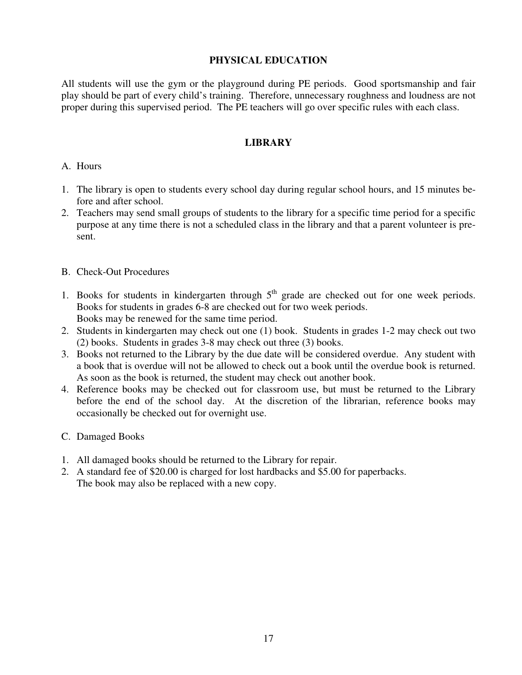# **PHYSICAL EDUCATION**

All students will use the gym or the playground during PE periods. Good sportsmanship and fair play should be part of every child's training. Therefore, unnecessary roughness and loudness are not proper during this supervised period. The PE teachers will go over specific rules with each class.

# **LIBRARY**

# A. Hours

- 1. The library is open to students every school day during regular school hours, and 15 minutes before and after school.
- 2. Teachers may send small groups of students to the library for a specific time period for a specific purpose at any time there is not a scheduled class in the library and that a parent volunteer is present.

# B. Check-Out Procedures

- 1. Books for students in kindergarten through  $5<sup>th</sup>$  grade are checked out for one week periods. Books for students in grades 6-8 are checked out for two week periods. Books may be renewed for the same time period.
- 2. Students in kindergarten may check out one (1) book. Students in grades 1-2 may check out two (2) books. Students in grades 3-8 may check out three (3) books.
- 3. Books not returned to the Library by the due date will be considered overdue. Any student with a book that is overdue will not be allowed to check out a book until the overdue book is returned. As soon as the book is returned, the student may check out another book.
- 4. Reference books may be checked out for classroom use, but must be returned to the Library before the end of the school day. At the discretion of the librarian, reference books may occasionally be checked out for overnight use.
- C. Damaged Books
- 1. All damaged books should be returned to the Library for repair.
- 2. A standard fee of \$20.00 is charged for lost hardbacks and \$5.00 for paperbacks. The book may also be replaced with a new copy.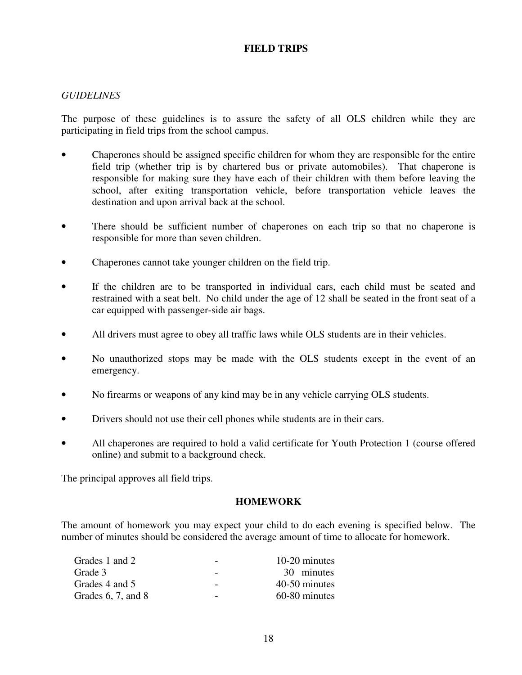# **FIELD TRIPS**

# *GUIDELINES*

The purpose of these guidelines is to assure the safety of all OLS children while they are participating in field trips from the school campus.

- Chaperones should be assigned specific children for whom they are responsible for the entire field trip (whether trip is by chartered bus or private automobiles). That chaperone is responsible for making sure they have each of their children with them before leaving the school, after exiting transportation vehicle, before transportation vehicle leaves the destination and upon arrival back at the school.
- There should be sufficient number of chaperones on each trip so that no chaperone is responsible for more than seven children.
- Chaperones cannot take younger children on the field trip.
- If the children are to be transported in individual cars, each child must be seated and restrained with a seat belt. No child under the age of 12 shall be seated in the front seat of a car equipped with passenger-side air bags.
- All drivers must agree to obey all traffic laws while OLS students are in their vehicles.
- No unauthorized stops may be made with the OLS students except in the event of an emergency.
- No firearms or weapons of any kind may be in any vehicle carrying OLS students.
- Drivers should not use their cell phones while students are in their cars.
- All chaperones are required to hold a valid certificate for Youth Protection 1 (course offered online) and submit to a background check.

The principal approves all field trips.

#### **HOMEWORK**

The amount of homework you may expect your child to do each evening is specified below. The number of minutes should be considered the average amount of time to allocate for homework.

| Grades 1 and 2          | $\overline{\phantom{0}}$ | 10-20 minutes |
|-------------------------|--------------------------|---------------|
| Grade 3                 | $\overline{\phantom{m}}$ | 30 minutes    |
| Grades 4 and 5          | $\overline{\phantom{0}}$ | 40-50 minutes |
| Grades $6, 7$ , and $8$ | $\overline{\phantom{0}}$ | 60-80 minutes |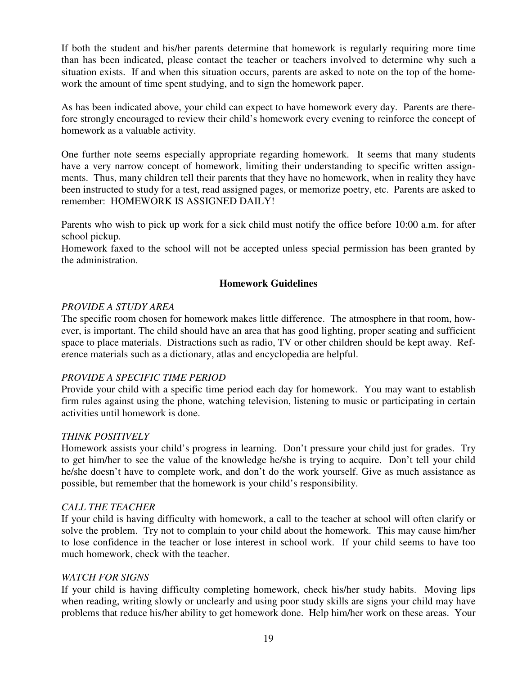If both the student and his/her parents determine that homework is regularly requiring more time than has been indicated, please contact the teacher or teachers involved to determine why such a situation exists. If and when this situation occurs, parents are asked to note on the top of the homework the amount of time spent studying, and to sign the homework paper.

As has been indicated above, your child can expect to have homework every day. Parents are therefore strongly encouraged to review their child's homework every evening to reinforce the concept of homework as a valuable activity.

One further note seems especially appropriate regarding homework. It seems that many students have a very narrow concept of homework, limiting their understanding to specific written assignments. Thus, many children tell their parents that they have no homework, when in reality they have been instructed to study for a test, read assigned pages, or memorize poetry, etc. Parents are asked to remember: HOMEWORK IS ASSIGNED DAILY!

Parents who wish to pick up work for a sick child must notify the office before 10:00 a.m. for after school pickup.

Homework faxed to the school will not be accepted unless special permission has been granted by the administration.

# **Homework Guidelines**

# *PROVIDE A STUDY AREA*

The specific room chosen for homework makes little difference. The atmosphere in that room, however, is important. The child should have an area that has good lighting, proper seating and sufficient space to place materials. Distractions such as radio, TV or other children should be kept away. Reference materials such as a dictionary, atlas and encyclopedia are helpful.

# *PROVIDE A SPECIFIC TIME PERIOD*

Provide your child with a specific time period each day for homework. You may want to establish firm rules against using the phone, watching television, listening to music or participating in certain activities until homework is done.

# *THINK POSITIVELY*

Homework assists your child's progress in learning. Don't pressure your child just for grades. Try to get him/her to see the value of the knowledge he/she is trying to acquire. Don't tell your child he/she doesn't have to complete work, and don't do the work yourself. Give as much assistance as possible, but remember that the homework is your child's responsibility.

# *CALL THE TEACHER*

If your child is having difficulty with homework, a call to the teacher at school will often clarify or solve the problem. Try not to complain to your child about the homework. This may cause him/her to lose confidence in the teacher or lose interest in school work. If your child seems to have too much homework, check with the teacher.

# *WATCH FOR SIGNS*

If your child is having difficulty completing homework, check his/her study habits. Moving lips when reading, writing slowly or unclearly and using poor study skills are signs your child may have problems that reduce his/her ability to get homework done. Help him/her work on these areas. Your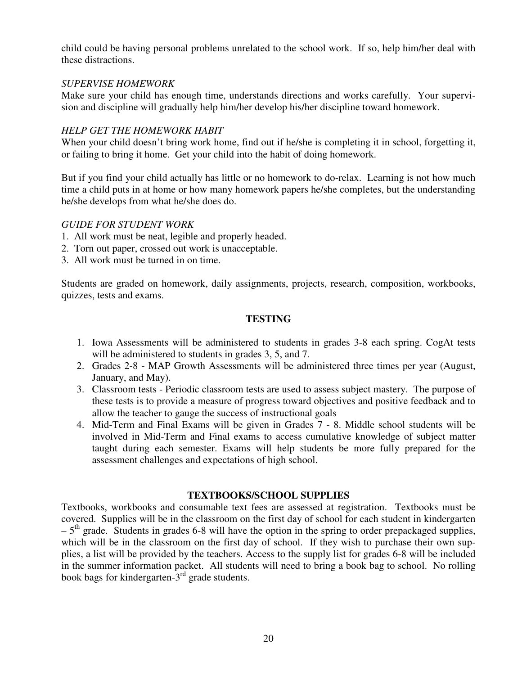child could be having personal problems unrelated to the school work. If so, help him/her deal with these distractions.

# *SUPERVISE HOMEWORK*

Make sure your child has enough time, understands directions and works carefully. Your supervision and discipline will gradually help him/her develop his/her discipline toward homework.

# *HELP GET THE HOMEWORK HABIT*

When your child doesn't bring work home, find out if he/she is completing it in school, forgetting it, or failing to bring it home. Get your child into the habit of doing homework.

But if you find your child actually has little or no homework to do-relax. Learning is not how much time a child puts in at home or how many homework papers he/she completes, but the understanding he/she develops from what he/she does do.

# *GUIDE FOR STUDENT WORK*

- 1. All work must be neat, legible and properly headed.
- 2. Torn out paper, crossed out work is unacceptable.
- 3. All work must be turned in on time.

Students are graded on homework, daily assignments, projects, research, composition, workbooks, quizzes, tests and exams.

# **TESTING**

- 1. Iowa Assessments will be administered to students in grades 3-8 each spring. CogAt tests will be administered to students in grades 3, 5, and 7.
- 2. Grades 2-8 MAP Growth Assessments will be administered three times per year (August, January, and May).
- 3. Classroom tests Periodic classroom tests are used to assess subject mastery. The purpose of these tests is to provide a measure of progress toward objectives and positive feedback and to allow the teacher to gauge the success of instructional goals
- 4. Mid-Term and Final Exams will be given in Grades 7 8. Middle school students will be involved in Mid-Term and Final exams to access cumulative knowledge of subject matter taught during each semester. Exams will help students be more fully prepared for the assessment challenges and expectations of high school.

# **TEXTBOOKS/SCHOOL SUPPLIES**

Textbooks, workbooks and consumable text fees are assessed at registration. Textbooks must be covered. Supplies will be in the classroom on the first day of school for each student in kindergarten  $-5$ <sup>th</sup> grade. Students in grades 6-8 will have the option in the spring to order prepackaged supplies, which will be in the classroom on the first day of school. If they wish to purchase their own supplies, a list will be provided by the teachers. Access to the supply list for grades 6-8 will be included in the summer information packet. All students will need to bring a book bag to school. No rolling book bags for kindergarten-3rd grade students.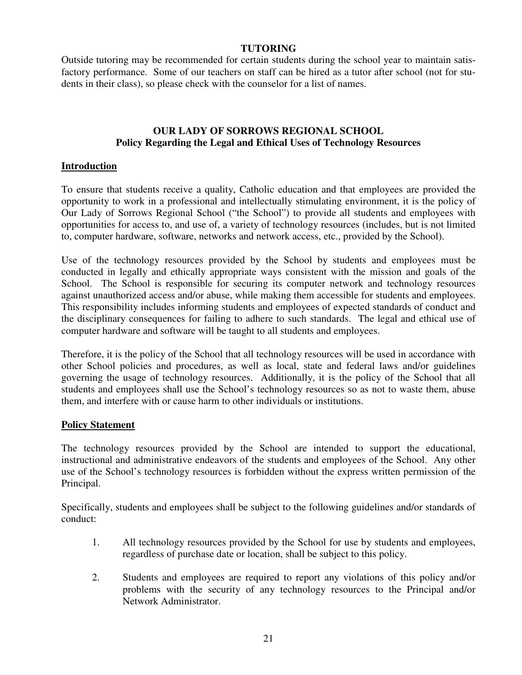# **TUTORING**

Outside tutoring may be recommended for certain students during the school year to maintain satisfactory performance. Some of our teachers on staff can be hired as a tutor after school (not for students in their class), so please check with the counselor for a list of names.

# **OUR LADY OF SORROWS REGIONAL SCHOOL Policy Regarding the Legal and Ethical Uses of Technology Resources**

# **Introduction**

To ensure that students receive a quality, Catholic education and that employees are provided the opportunity to work in a professional and intellectually stimulating environment, it is the policy of Our Lady of Sorrows Regional School ("the School") to provide all students and employees with opportunities for access to, and use of, a variety of technology resources (includes, but is not limited to, computer hardware, software, networks and network access, etc., provided by the School).

Use of the technology resources provided by the School by students and employees must be conducted in legally and ethically appropriate ways consistent with the mission and goals of the School. The School is responsible for securing its computer network and technology resources against unauthorized access and/or abuse, while making them accessible for students and employees. This responsibility includes informing students and employees of expected standards of conduct and the disciplinary consequences for failing to adhere to such standards. The legal and ethical use of computer hardware and software will be taught to all students and employees.

Therefore, it is the policy of the School that all technology resources will be used in accordance with other School policies and procedures, as well as local, state and federal laws and/or guidelines governing the usage of technology resources. Additionally, it is the policy of the School that all students and employees shall use the School's technology resources so as not to waste them, abuse them, and interfere with or cause harm to other individuals or institutions.

# **Policy Statement**

The technology resources provided by the School are intended to support the educational, instructional and administrative endeavors of the students and employees of the School. Any other use of the School's technology resources is forbidden without the express written permission of the Principal.

Specifically, students and employees shall be subject to the following guidelines and/or standards of conduct:

- 1. All technology resources provided by the School for use by students and employees, regardless of purchase date or location, shall be subject to this policy.
- 2. Students and employees are required to report any violations of this policy and/or problems with the security of any technology resources to the Principal and/or Network Administrator.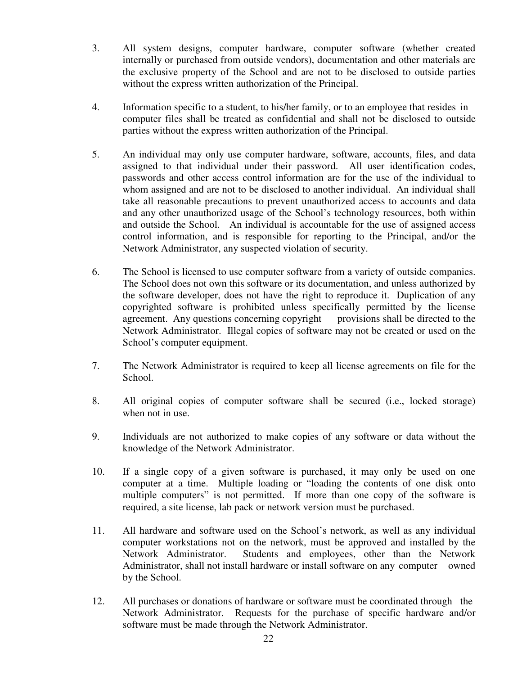- 3. All system designs, computer hardware, computer software (whether created internally or purchased from outside vendors), documentation and other materials are the exclusive property of the School and are not to be disclosed to outside parties without the express written authorization of the Principal.
- 4. Information specific to a student, to his/her family, or to an employee that resides in computer files shall be treated as confidential and shall not be disclosed to outside parties without the express written authorization of the Principal.
- 5. An individual may only use computer hardware, software, accounts, files, and data assigned to that individual under their password. All user identification codes, passwords and other access control information are for the use of the individual to whom assigned and are not to be disclosed to another individual. An individual shall take all reasonable precautions to prevent unauthorized access to accounts and data and any other unauthorized usage of the School's technology resources, both within and outside the School. An individual is accountable for the use of assigned access control information, and is responsible for reporting to the Principal, and/or the Network Administrator, any suspected violation of security.
- 6. The School is licensed to use computer software from a variety of outside companies. The School does not own this software or its documentation, and unless authorized by the software developer, does not have the right to reproduce it. Duplication of any copyrighted software is prohibited unless specifically permitted by the license agreement. Any questions concerning copyright provisions shall be directed to the Network Administrator. Illegal copies of software may not be created or used on the School's computer equipment.
- 7. The Network Administrator is required to keep all license agreements on file for the School.
- 8. All original copies of computer software shall be secured (i.e., locked storage) when not in use.
- 9. Individuals are not authorized to make copies of any software or data without the knowledge of the Network Administrator.
- 10. If a single copy of a given software is purchased, it may only be used on one computer at a time. Multiple loading or "loading the contents of one disk onto multiple computers" is not permitted. If more than one copy of the software is required, a site license, lab pack or network version must be purchased.
- 11. All hardware and software used on the School's network, as well as any individual computer workstations not on the network, must be approved and installed by the Network Administrator. Students and employees, other than the Network Administrator, shall not install hardware or install software on any computer owned by the School.
- 12. All purchases or donations of hardware or software must be coordinated through the Network Administrator. Requests for the purchase of specific hardware and/or software must be made through the Network Administrator.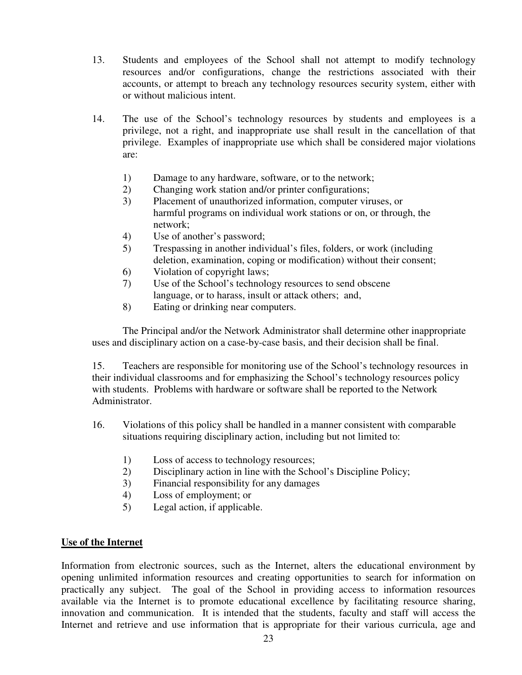- 13. Students and employees of the School shall not attempt to modify technology resources and/or configurations, change the restrictions associated with their accounts, or attempt to breach any technology resources security system, either with or without malicious intent.
- 14. The use of the School's technology resources by students and employees is a privilege, not a right, and inappropriate use shall result in the cancellation of that privilege. Examples of inappropriate use which shall be considered major violations are:
	- 1) Damage to any hardware, software, or to the network;
	- 2) Changing work station and/or printer configurations;
	- 3) Placement of unauthorized information, computer viruses, or harmful programs on individual work stations or on, or through, the network;
	- 4) Use of another's password;
	- 5) Trespassing in another individual's files, folders, or work (including deletion, examination, coping or modification) without their consent;
	- 6) Violation of copyright laws;
	- 7) Use of the School's technology resources to send obscene language, or to harass, insult or attack others; and,
	- 8) Eating or drinking near computers.

 The Principal and/or the Network Administrator shall determine other inappropriate uses and disciplinary action on a case-by-case basis, and their decision shall be final.

 15. Teachers are responsible for monitoring use of the School's technology resources in their individual classrooms and for emphasizing the School's technology resources policy with students. Problems with hardware or software shall be reported to the Network Administrator.

- 16. Violations of this policy shall be handled in a manner consistent with comparable situations requiring disciplinary action, including but not limited to:
	- 1) Loss of access to technology resources;
	- 2) Disciplinary action in line with the School's Discipline Policy;
	- 3) Financial responsibility for any damages
	- 4) Loss of employment; or
	- 5) Legal action, if applicable.

# **Use of the Internet**

Information from electronic sources, such as the Internet, alters the educational environment by opening unlimited information resources and creating opportunities to search for information on practically any subject. The goal of the School in providing access to information resources available via the Internet is to promote educational excellence by facilitating resource sharing, innovation and communication. It is intended that the students, faculty and staff will access the Internet and retrieve and use information that is appropriate for their various curricula, age and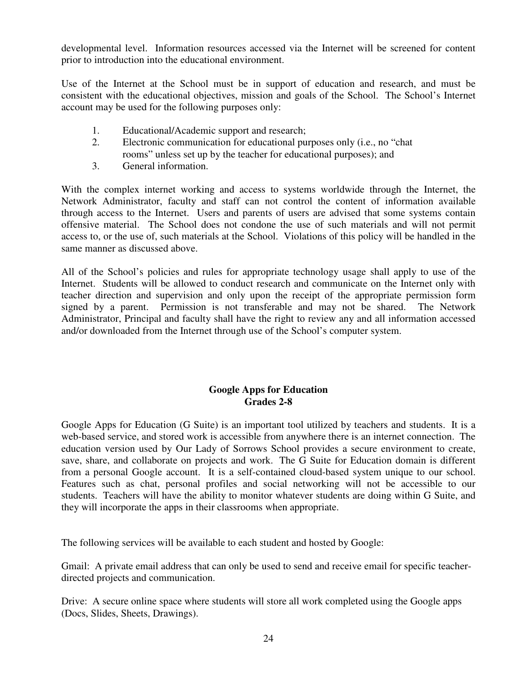developmental level. Information resources accessed via the Internet will be screened for content prior to introduction into the educational environment.

Use of the Internet at the School must be in support of education and research, and must be consistent with the educational objectives, mission and goals of the School. The School's Internet account may be used for the following purposes only:

- 1. Educational/Academic support and research;
- 2. Electronic communication for educational purposes only (i.e., no "chat rooms" unless set up by the teacher for educational purposes); and
- 3. General information.

With the complex internet working and access to systems worldwide through the Internet, the Network Administrator, faculty and staff can not control the content of information available through access to the Internet. Users and parents of users are advised that some systems contain offensive material. The School does not condone the use of such materials and will not permit access to, or the use of, such materials at the School. Violations of this policy will be handled in the same manner as discussed above.

All of the School's policies and rules for appropriate technology usage shall apply to use of the Internet. Students will be allowed to conduct research and communicate on the Internet only with teacher direction and supervision and only upon the receipt of the appropriate permission form signed by a parent. Permission is not transferable and may not be shared. The Network Administrator, Principal and faculty shall have the right to review any and all information accessed and/or downloaded from the Internet through use of the School's computer system.

# **Google Apps for Education Grades 2-8**

Google Apps for Education (G Suite) is an important tool utilized by teachers and students. It is a web-based service, and stored work is accessible from anywhere there is an internet connection. The education version used by Our Lady of Sorrows School provides a secure environment to create, save, share, and collaborate on projects and work. The G Suite for Education domain is different from a personal Google account. It is a self-contained cloud-based system unique to our school. Features such as chat, personal profiles and social networking will not be accessible to our students. Teachers will have the ability to monitor whatever students are doing within G Suite, and they will incorporate the apps in their classrooms when appropriate.

The following services will be available to each student and hosted by Google:

Gmail: A private email address that can only be used to send and receive email for specific teacherdirected projects and communication.

Drive: A secure online space where students will store all work completed using the Google apps (Docs, Slides, Sheets, Drawings).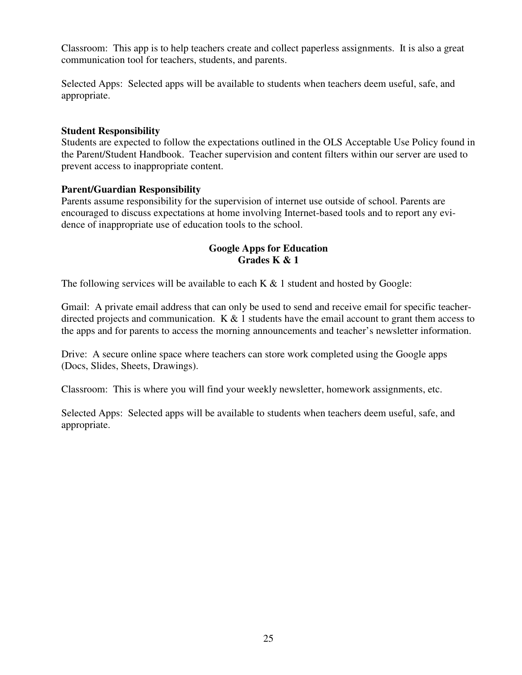Classroom: This app is to help teachers create and collect paperless assignments. It is also a great communication tool for teachers, students, and parents.

Selected Apps: Selected apps will be available to students when teachers deem useful, safe, and appropriate.

## **Student Responsibility**

Students are expected to follow the expectations outlined in the OLS Acceptable Use Policy found in the Parent/Student Handbook. Teacher supervision and content filters within our server are used to prevent access to inappropriate content.

# **Parent/Guardian Responsibility**

Parents assume responsibility for the supervision of internet use outside of school. Parents are encouraged to discuss expectations at home involving Internet-based tools and to report any evidence of inappropriate use of education tools to the school.

# **Google Apps for Education Grades K & 1**

The following services will be available to each  $K \& 1$  student and hosted by Google:

Gmail: A private email address that can only be used to send and receive email for specific teacherdirected projects and communication.  $K \& 1$  students have the email account to grant them access to the apps and for parents to access the morning announcements and teacher's newsletter information.

Drive: A secure online space where teachers can store work completed using the Google apps (Docs, Slides, Sheets, Drawings).

Classroom: This is where you will find your weekly newsletter, homework assignments, etc.

Selected Apps: Selected apps will be available to students when teachers deem useful, safe, and appropriate.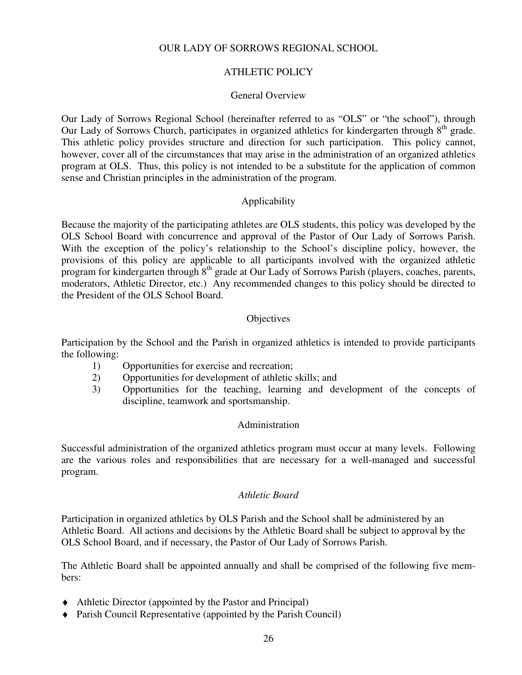## OUR LADY OF SORROWS REGIONAL SCHOOL

# ATHLETIC POLICY

#### General Overview

Our Lady of Sorrows Regional School (hereinafter referred to as "OLS" or "the school"), through Our Lady of Sorrows Church, participates in organized athletics for kindergarten through 8<sup>th</sup> grade. This athletic policy provides structure and direction for such participation. This policy cannot, however, cover all of the circumstances that may arise in the administration of an organized athletics program at OLS. Thus, this policy is not intended to be a substitute for the application of common sense and Christian principles in the administration of the program.

# Applicability

Because the majority of the participating athletes are OLS students, this policy was developed by the OLS School Board with concurrence and approval of the Pastor of Our Lady of Sorrows Parish. With the exception of the policy's relationship to the School's discipline policy, however, the provisions of this policy are applicable to all participants involved with the organized athletic program for kindergarten through  $8<sup>th</sup>$  grade at Our Lady of Sorrows Parish (players, coaches, parents, moderators, Athletic Director, etc.) Any recommended changes to this policy should be directed to the President of the OLS School Board.

# **Objectives**

Participation by the School and the Parish in organized athletics is intended to provide participants the following:

- 1) Opportunities for exercise and recreation;
- 2) Opportunities for development of athletic skills; and
- 3) Opportunities for the teaching, learning and development of the concepts of discipline, teamwork and sportsmanship.

#### Administration

Successful administration of the organized athletics program must occur at many levels. Following are the various roles and responsibilities that are necessary for a well-managed and successful program.

#### *Athletic Board*

Participation in organized athletics by OLS Parish and the School shall be administered by an Athletic Board. All actions and decisions by the Athletic Board shall be subject to approval by the OLS School Board, and if necessary, the Pastor of Our Lady of Sorrows Parish.

The Athletic Board shall be appointed annually and shall be comprised of the following five members:

- ♦ Athletic Director (appointed by the Pastor and Principal)
- ♦ Parish Council Representative (appointed by the Parish Council)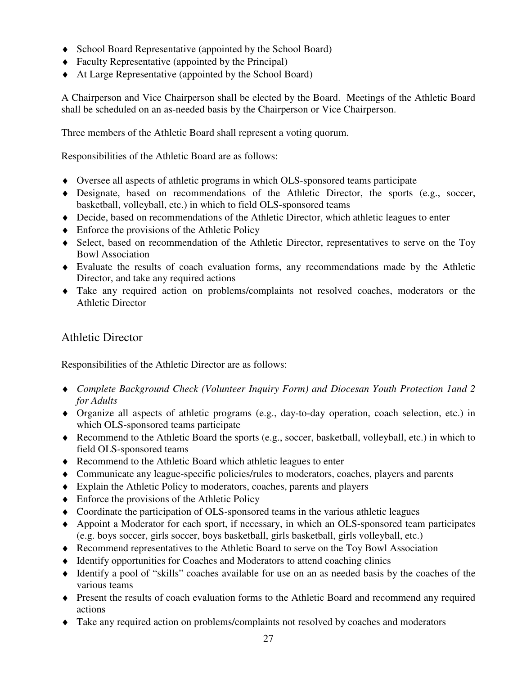- ♦ School Board Representative (appointed by the School Board)
- ♦ Faculty Representative (appointed by the Principal)
- ♦ At Large Representative (appointed by the School Board)

A Chairperson and Vice Chairperson shall be elected by the Board. Meetings of the Athletic Board shall be scheduled on an as-needed basis by the Chairperson or Vice Chairperson.

Three members of the Athletic Board shall represent a voting quorum.

Responsibilities of the Athletic Board are as follows:

- ♦ Oversee all aspects of athletic programs in which OLS-sponsored teams participate
- ♦ Designate, based on recommendations of the Athletic Director, the sports (e.g., soccer, basketball, volleyball, etc.) in which to field OLS-sponsored teams
- ♦ Decide, based on recommendations of the Athletic Director, which athletic leagues to enter
- $\triangleleft$  Enforce the provisions of the Athletic Policy
- ♦ Select, based on recommendation of the Athletic Director, representatives to serve on the Toy Bowl Association
- ♦ Evaluate the results of coach evaluation forms, any recommendations made by the Athletic Director, and take any required actions
- ♦ Take any required action on problems/complaints not resolved coaches, moderators or the Athletic Director

# Athletic Director

Responsibilities of the Athletic Director are as follows:

- ♦ *Complete Background Check (Volunteer Inquiry Form) and Diocesan Youth Protection 1and 2 for Adults*
- ♦ Organize all aspects of athletic programs (e.g., day-to-day operation, coach selection, etc.) in which OLS-sponsored teams participate
- ♦ Recommend to the Athletic Board the sports (e.g., soccer, basketball, volleyball, etc.) in which to field OLS-sponsored teams
- ♦ Recommend to the Athletic Board which athletic leagues to enter
- ♦ Communicate any league-specific policies/rules to moderators, coaches, players and parents
- ♦ Explain the Athletic Policy to moderators, coaches, parents and players
- ♦ Enforce the provisions of the Athletic Policy
- ♦ Coordinate the participation of OLS-sponsored teams in the various athletic leagues
- ♦ Appoint a Moderator for each sport, if necessary, in which an OLS-sponsored team participates (e.g. boys soccer, girls soccer, boys basketball, girls basketball, girls volleyball, etc.)
- ♦ Recommend representatives to the Athletic Board to serve on the Toy Bowl Association
- ♦ Identify opportunities for Coaches and Moderators to attend coaching clinics
- ♦ Identify a pool of "skills" coaches available for use on an as needed basis by the coaches of the various teams
- ♦ Present the results of coach evaluation forms to the Athletic Board and recommend any required actions
- ♦ Take any required action on problems/complaints not resolved by coaches and moderators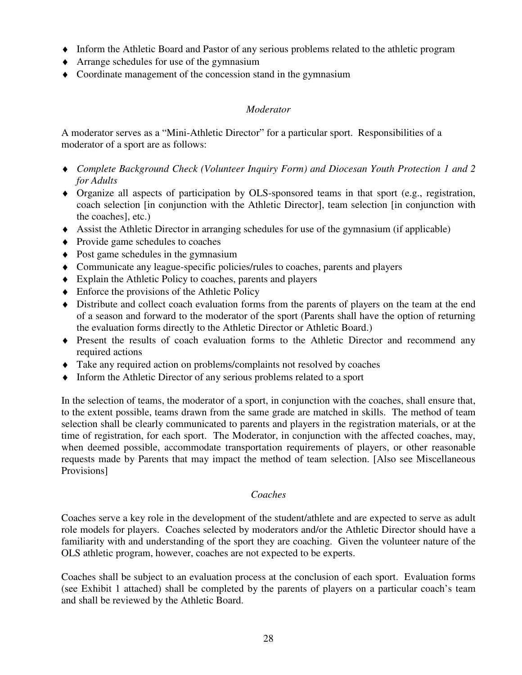- ♦ Inform the Athletic Board and Pastor of any serious problems related to the athletic program
- ♦ Arrange schedules for use of the gymnasium
- ♦ Coordinate management of the concession stand in the gymnasium

# *Moderator*

A moderator serves as a "Mini-Athletic Director" for a particular sport. Responsibilities of a moderator of a sport are as follows:

- ♦ *Complete Background Check (Volunteer Inquiry Form) and Diocesan Youth Protection 1 and 2 for Adults*
- ♦ Organize all aspects of participation by OLS-sponsored teams in that sport (e.g., registration, coach selection [in conjunction with the Athletic Director], team selection [in conjunction with the coaches], etc.)
- ♦ Assist the Athletic Director in arranging schedules for use of the gymnasium (if applicable)
- ♦ Provide game schedules to coaches
- ♦ Post game schedules in the gymnasium
- ♦ Communicate any league-specific policies/rules to coaches, parents and players
- ♦ Explain the Athletic Policy to coaches, parents and players
- ♦ Enforce the provisions of the Athletic Policy
- ♦ Distribute and collect coach evaluation forms from the parents of players on the team at the end of a season and forward to the moderator of the sport (Parents shall have the option of returning the evaluation forms directly to the Athletic Director or Athletic Board.)
- ♦ Present the results of coach evaluation forms to the Athletic Director and recommend any required actions
- ♦ Take any required action on problems/complaints not resolved by coaches
- ♦ Inform the Athletic Director of any serious problems related to a sport

In the selection of teams, the moderator of a sport, in conjunction with the coaches, shall ensure that, to the extent possible, teams drawn from the same grade are matched in skills. The method of team selection shall be clearly communicated to parents and players in the registration materials, or at the time of registration, for each sport. The Moderator, in conjunction with the affected coaches, may, when deemed possible, accommodate transportation requirements of players, or other reasonable requests made by Parents that may impact the method of team selection. [Also see Miscellaneous Provisions]

# *Coaches*

Coaches serve a key role in the development of the student/athlete and are expected to serve as adult role models for players. Coaches selected by moderators and/or the Athletic Director should have a familiarity with and understanding of the sport they are coaching. Given the volunteer nature of the OLS athletic program, however, coaches are not expected to be experts.

Coaches shall be subject to an evaluation process at the conclusion of each sport. Evaluation forms (see Exhibit 1 attached) shall be completed by the parents of players on a particular coach's team and shall be reviewed by the Athletic Board.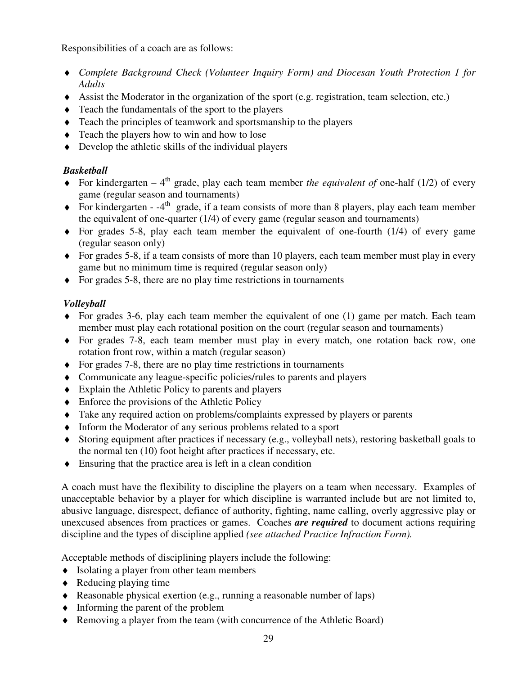Responsibilities of a coach are as follows:

- ♦ *Complete Background Check (Volunteer Inquiry Form) and Diocesan Youth Protection 1 for Adults*
- ♦ Assist the Moderator in the organization of the sport (e.g. registration, team selection, etc.)
- ♦ Teach the fundamentals of the sport to the players
- ♦ Teach the principles of teamwork and sportsmanship to the players
- ♦ Teach the players how to win and how to lose
- $\triangle$  Develop the athletic skills of the individual players

# *Basketball*

- $\blacklozenge$  For kindergarten 4<sup>th</sup> grade, play each team member *the equivalent of* one-half (1/2) of every game (regular season and tournaments)
- $\blacklozenge$  For kindergarten -4<sup>th</sup> grade, if a team consists of more than 8 players, play each team member the equivalent of one-quarter (1/4) of every game (regular season and tournaments)
- $\bullet$  For grades 5-8, play each team member the equivalent of one-fourth (1/4) of every game (regular season only)
- $\blacklozenge$  For grades 5-8, if a team consists of more than 10 players, each team member must play in every game but no minimum time is required (regular season only)
- ♦ For grades 5-8, there are no play time restrictions in tournaments

# *Volleyball*

- ♦ For grades 3-6, play each team member the equivalent of one (1) game per match. Each team member must play each rotational position on the court (regular season and tournaments)
- ♦ For grades 7-8, each team member must play in every match, one rotation back row, one rotation front row, within a match (regular season)
- ♦ For grades 7-8, there are no play time restrictions in tournaments
- ♦ Communicate any league-specific policies/rules to parents and players
- ♦ Explain the Athletic Policy to parents and players
- $\triangle$  Enforce the provisions of the Athletic Policy
- ♦ Take any required action on problems/complaints expressed by players or parents
- ♦ Inform the Moderator of any serious problems related to a sport
- ♦ Storing equipment after practices if necessary (e.g., volleyball nets), restoring basketball goals to the normal ten (10) foot height after practices if necessary, etc.
- ♦ Ensuring that the practice area is left in a clean condition

A coach must have the flexibility to discipline the players on a team when necessary. Examples of unacceptable behavior by a player for which discipline is warranted include but are not limited to, abusive language, disrespect, defiance of authority, fighting, name calling, overly aggressive play or unexcused absences from practices or games. Coaches *are required* to document actions requiring discipline and the types of discipline applied *(see attached Practice Infraction Form).*

Acceptable methods of disciplining players include the following:

- ♦ Isolating a player from other team members
- $\triangleleft$  Reducing playing time
- ♦ Reasonable physical exertion (e.g., running a reasonable number of laps)
- ♦ Informing the parent of the problem
- ♦ Removing a player from the team (with concurrence of the Athletic Board)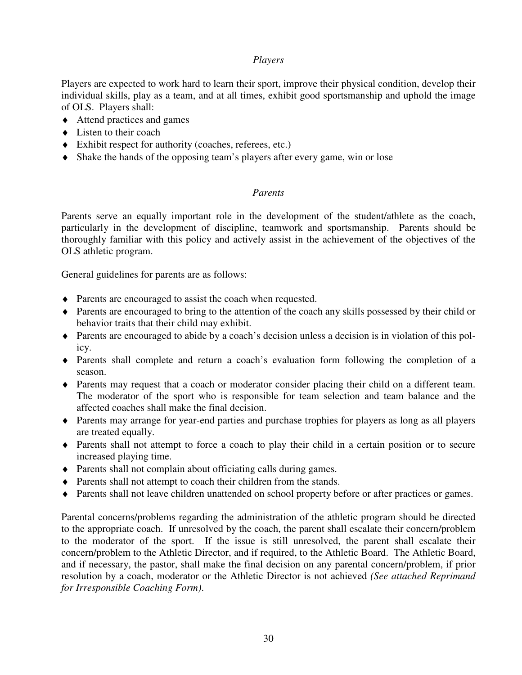# *Players*

Players are expected to work hard to learn their sport, improve their physical condition, develop their individual skills, play as a team, and at all times, exhibit good sportsmanship and uphold the image of OLS. Players shall:

- ♦ Attend practices and games
- $\triangle$  Listen to their coach
- ♦ Exhibit respect for authority (coaches, referees, etc.)
- ♦ Shake the hands of the opposing team's players after every game, win or lose

# *Parents*

Parents serve an equally important role in the development of the student/athlete as the coach, particularly in the development of discipline, teamwork and sportsmanship. Parents should be thoroughly familiar with this policy and actively assist in the achievement of the objectives of the OLS athletic program.

General guidelines for parents are as follows:

- ♦ Parents are encouraged to assist the coach when requested.
- ♦ Parents are encouraged to bring to the attention of the coach any skills possessed by their child or behavior traits that their child may exhibit.
- ♦ Parents are encouraged to abide by a coach's decision unless a decision is in violation of this policy.
- ♦ Parents shall complete and return a coach's evaluation form following the completion of a season.
- ♦ Parents may request that a coach or moderator consider placing their child on a different team. The moderator of the sport who is responsible for team selection and team balance and the affected coaches shall make the final decision.
- ♦ Parents may arrange for year-end parties and purchase trophies for players as long as all players are treated equally.
- ♦ Parents shall not attempt to force a coach to play their child in a certain position or to secure increased playing time.
- ♦ Parents shall not complain about officiating calls during games.
- ♦ Parents shall not attempt to coach their children from the stands.
- ♦ Parents shall not leave children unattended on school property before or after practices or games.

Parental concerns/problems regarding the administration of the athletic program should be directed to the appropriate coach. If unresolved by the coach, the parent shall escalate their concern/problem to the moderator of the sport. If the issue is still unresolved, the parent shall escalate their concern/problem to the Athletic Director, and if required, to the Athletic Board. The Athletic Board, and if necessary, the pastor, shall make the final decision on any parental concern/problem, if prior resolution by a coach, moderator or the Athletic Director is not achieved *(See attached Reprimand for Irresponsible Coaching Form)*.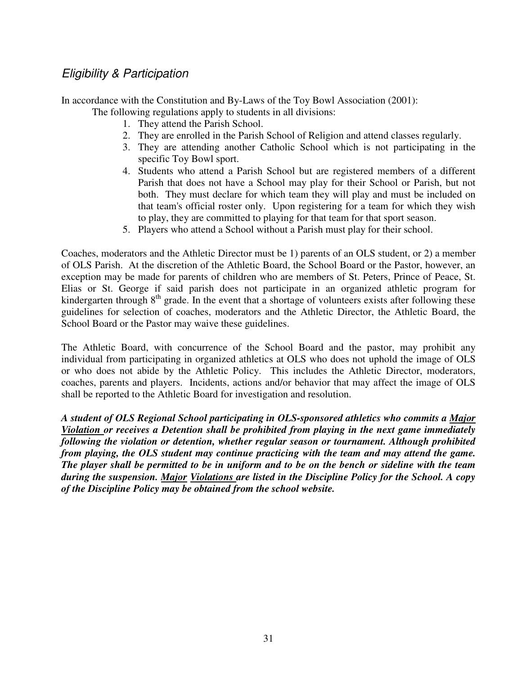# Eligibility & Participation

In accordance with the Constitution and By-Laws of the Toy Bowl Association (2001):

The following regulations apply to students in all divisions:

- 1. They attend the Parish School.
- 2. They are enrolled in the Parish School of Religion and attend classes regularly.
- 3. They are attending another Catholic School which is not participating in the specific Toy Bowl sport.
- 4. Students who attend a Parish School but are registered members of a different Parish that does not have a School may play for their School or Parish, but not both. They must declare for which team they will play and must be included on that team's official roster only. Upon registering for a team for which they wish to play, they are committed to playing for that team for that sport season.
- 5. Players who attend a School without a Parish must play for their school.

Coaches, moderators and the Athletic Director must be 1) parents of an OLS student, or 2) a member of OLS Parish. At the discretion of the Athletic Board, the School Board or the Pastor, however, an exception may be made for parents of children who are members of St. Peters, Prince of Peace, St. Elias or St. George if said parish does not participate in an organized athletic program for kindergarten through  $8<sup>th</sup>$  grade. In the event that a shortage of volunteers exists after following these guidelines for selection of coaches, moderators and the Athletic Director, the Athletic Board, the School Board or the Pastor may waive these guidelines.

The Athletic Board, with concurrence of the School Board and the pastor, may prohibit any individual from participating in organized athletics at OLS who does not uphold the image of OLS or who does not abide by the Athletic Policy. This includes the Athletic Director, moderators, coaches, parents and players. Incidents, actions and/or behavior that may affect the image of OLS shall be reported to the Athletic Board for investigation and resolution.

*A student of OLS Regional School participating in OLS-sponsored athletics who commits a Major Violation or receives a Detention shall be prohibited from playing in the next game immediately following the violation or detention, whether regular season or tournament. Although prohibited from playing, the OLS student may continue practicing with the team and may attend the game. The player shall be permitted to be in uniform and to be on the bench or sideline with the team during the suspension. Major Violations are listed in the Discipline Policy for the School. A copy of the Discipline Policy may be obtained from the school website.*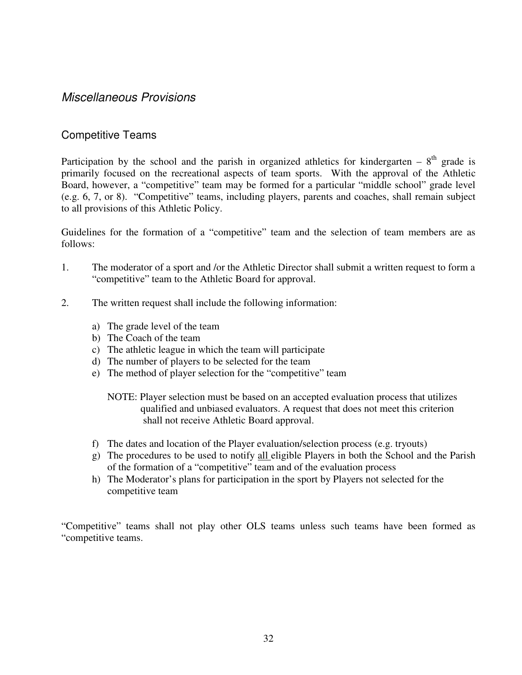# Miscellaneous Provisions

# Competitive Teams

Participation by the school and the parish in organized athletics for kindergarten –  $8<sup>th</sup>$  grade is primarily focused on the recreational aspects of team sports. With the approval of the Athletic Board, however, a "competitive" team may be formed for a particular "middle school" grade level (e.g. 6, 7, or 8). "Competitive" teams, including players, parents and coaches, shall remain subject to all provisions of this Athletic Policy.

Guidelines for the formation of a "competitive" team and the selection of team members are as follows:

- 1. The moderator of a sport and /or the Athletic Director shall submit a written request to form a "competitive" team to the Athletic Board for approval.
- 2. The written request shall include the following information:
	- a) The grade level of the team
	- b) The Coach of the team
	- c) The athletic league in which the team will participate
	- d) The number of players to be selected for the team
	- e) The method of player selection for the "competitive" team

NOTE: Player selection must be based on an accepted evaluation process that utilizes qualified and unbiased evaluators. A request that does not meet this criterion shall not receive Athletic Board approval.

- f) The dates and location of the Player evaluation/selection process (e.g. tryouts)
- g) The procedures to be used to notify all eligible Players in both the School and the Parish of the formation of a "competitive" team and of the evaluation process
- h) The Moderator's plans for participation in the sport by Players not selected for the competitive team

"Competitive" teams shall not play other OLS teams unless such teams have been formed as "competitive teams.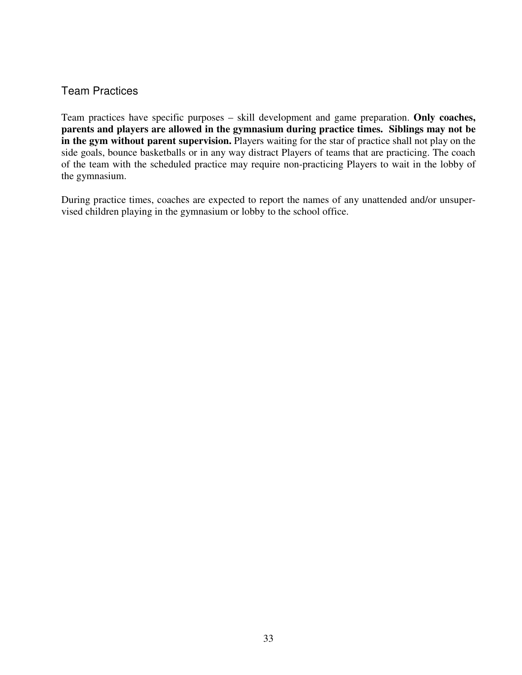# Team Practices

Team practices have specific purposes – skill development and game preparation. **Only coaches, parents and players are allowed in the gymnasium during practice times. Siblings may not be in the gym without parent supervision.** Players waiting for the star of practice shall not play on the side goals, bounce basketballs or in any way distract Players of teams that are practicing. The coach of the team with the scheduled practice may require non-practicing Players to wait in the lobby of the gymnasium.

During practice times, coaches are expected to report the names of any unattended and/or unsupervised children playing in the gymnasium or lobby to the school office.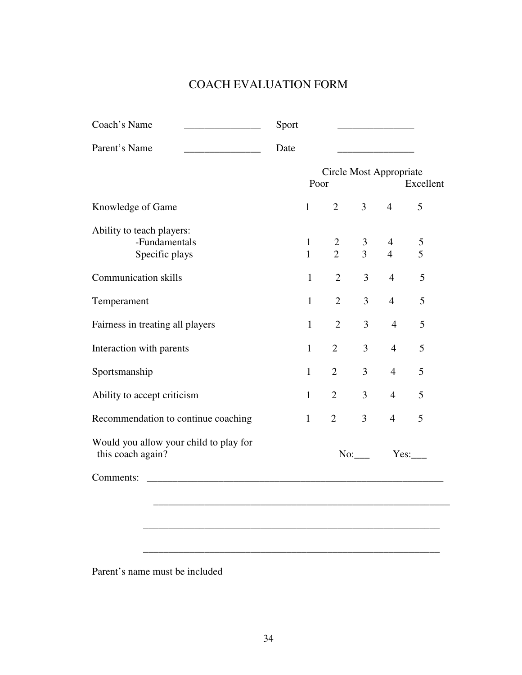# COACH EVALUATION FORM

| Parent's Name                                                 | Date |              |                |                |                         |           |
|---------------------------------------------------------------|------|--------------|----------------|----------------|-------------------------|-----------|
|                                                               |      | Poor         |                |                | Circle Most Appropriate | Excellent |
| Knowledge of Game                                             |      | $\mathbf{1}$ | $\overline{2}$ | $\overline{3}$ | $\overline{4}$          | 5         |
| Ability to teach players:                                     |      |              |                |                |                         |           |
| -Fundamentals                                                 |      | $\mathbf{1}$ | $\overline{2}$ | $\mathfrak{Z}$ | $\overline{4}$          | 5         |
| Specific plays                                                |      | $\mathbf{1}$ | $\overline{2}$ | $\overline{3}$ | $\overline{4}$          | 5         |
| <b>Communication skills</b>                                   |      | $\mathbf{1}$ | $\overline{2}$ | 3              | $\overline{4}$          | 5         |
| Temperament                                                   |      | $\mathbf{1}$ | $\overline{2}$ | 3              | $\overline{4}$          | 5         |
| Fairness in treating all players                              |      | $\mathbf{1}$ | $\overline{2}$ | 3              | $\overline{4}$          | 5         |
| Interaction with parents                                      |      | $\mathbf{1}$ | $\overline{2}$ | 3              | $\overline{4}$          | 5         |
| Sportsmanship                                                 |      | $\mathbf{1}$ | $\overline{2}$ | $\overline{3}$ | $\overline{4}$          | 5         |
| Ability to accept criticism                                   |      | $\mathbf{1}$ | $\overline{2}$ | 3              | $\overline{4}$          | 5         |
| Recommendation to continue coaching                           |      | $\mathbf{1}$ | $\overline{2}$ | $\overline{3}$ | $\overline{4}$          | 5         |
| Would you allow your child to play for<br>this coach again?   |      |              |                | No:            |                         | Yes:      |
| Comments:<br><u> 2001 - Jan Barat, martin da shekara 1992</u> |      |              |                |                |                         |           |
|                                                               |      |              |                |                |                         |           |
|                                                               |      |              |                |                |                         |           |
|                                                               |      |              |                |                |                         |           |

Parent's name must be included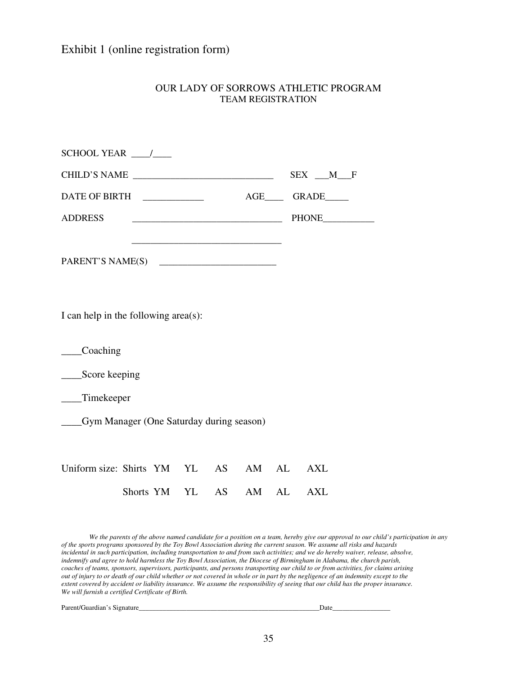# Exhibit 1 (online registration form)

| OUR LADY OF SORROWS ATHLETIC PROGRAM |
|--------------------------------------|
| <b>TEAM REGISTRATION</b>             |
|                                      |
|                                      |

|                                             |              |       |       | $SEX$ $M$ $F$    |  |
|---------------------------------------------|--------------|-------|-------|------------------|--|
|                                             |              |       |       |                  |  |
| <b>ADDRESS</b>                              |              |       |       | PHONE___________ |  |
|                                             |              |       |       |                  |  |
| I can help in the following area(s):        |              |       |       |                  |  |
| _Coaching                                   |              |       |       |                  |  |
| _____Score keeping                          |              |       |       |                  |  |
| __Timekeeper                                |              |       |       |                  |  |
| ___Gym Manager (One Saturday during season) |              |       |       |                  |  |
|                                             |              |       |       |                  |  |
| Uniform size: Shirts YM YL AS               |              |       | AM AL | <b>AXL</b>       |  |
|                                             | Shorts YM YL | AS AS | AM AL | <b>AXL</b>       |  |

*We the parents of the above named candidate for a position on a team, hereby give our approval to our child's participation in any of the sports programs sponsored by the Toy Bowl Association during the current season. We assume all risks and hazards incidental in such participation, including transportation to and from such activities; and we do hereby waiver, release, absolve, indemnify and agree to hold harmless the Toy Bowl Association, the Diocese of Birmingham in Alabama, the church parish, coaches of teams, sponsors, supervisors, participants, and persons transporting our child to or from activities, for claims arising out of injury to or death of our child whether or not covered in whole or in part by the negligence of an indemnity except to the extent covered by accident or liability insurance. We assume the responsibility of seeing that our child has the proper insurance. We will furnish a certified Certificate of Birth.* 

Parent/Guardian's Signature\_\_\_\_\_\_\_\_\_\_\_\_\_\_\_\_\_\_\_\_\_\_\_\_\_\_\_\_\_\_\_\_\_\_\_\_\_\_\_\_\_\_\_\_\_\_\_\_\_\_\_\_\_Date\_\_\_\_\_\_\_\_\_\_\_\_\_\_\_\_\_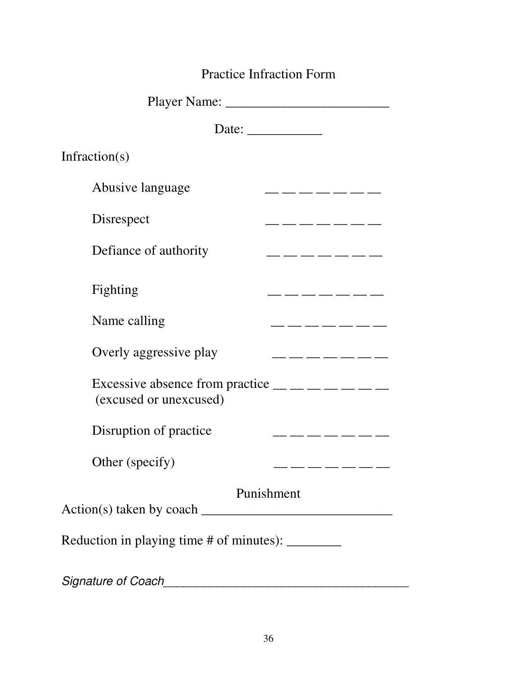# Practice Infraction Form

| Date: $\frac{1}{\sqrt{1-\frac{1}{2}} \cdot \frac{1}{2}}$ |                                                                    |
|----------------------------------------------------------|--------------------------------------------------------------------|
| Infraction( $s$ )                                        |                                                                    |
| Abusive language                                         | __ __ __ __ __                                                     |
| Disrespect                                               | _ __ __ __ __ __ __                                                |
| Defiance of authority                                    | . __ __ __ __ __ __                                                |
| Fighting                                                 |                                                                    |
| Name calling                                             | __ __ __ __ __ __                                                  |
| Overly aggressive play                                   | _ __ __ __ __ __ __                                                |
| (excused or unexcused)                                   | Excessive absence from practice $\_\_$ $\_\_$ $\_\_$ $\_\_$ $\_\_$ |
| Disruption of practice                                   | _ ___ ___ ___ ___ ___                                              |
| Other (specify)                                          | __ __ __ __                                                        |
|                                                          | Punishment                                                         |
| Reduction in playing time # of minutes): ________        |                                                                    |
| Signature of Coach                                       |                                                                    |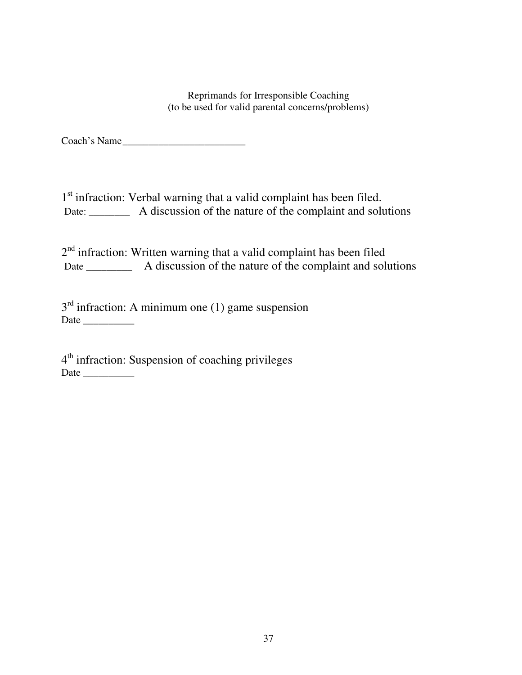Reprimands for Irresponsible Coaching (to be used for valid parental concerns/problems)

Coach's Name

1<sup>st</sup> infraction: Verbal warning that a valid complaint has been filed. Date: A discussion of the nature of the complaint and solutions

 $2<sup>nd</sup>$  infraction: Written warning that a valid complaint has been filed Date \_\_\_\_\_\_\_\_\_\_ A discussion of the nature of the complaint and solutions

 $3<sup>rd</sup>$  infraction: A minimum one (1) game suspension Date \_\_\_\_\_\_\_\_\_\_

4<sup>th</sup> infraction: Suspension of coaching privileges Date \_\_\_\_\_\_\_\_\_\_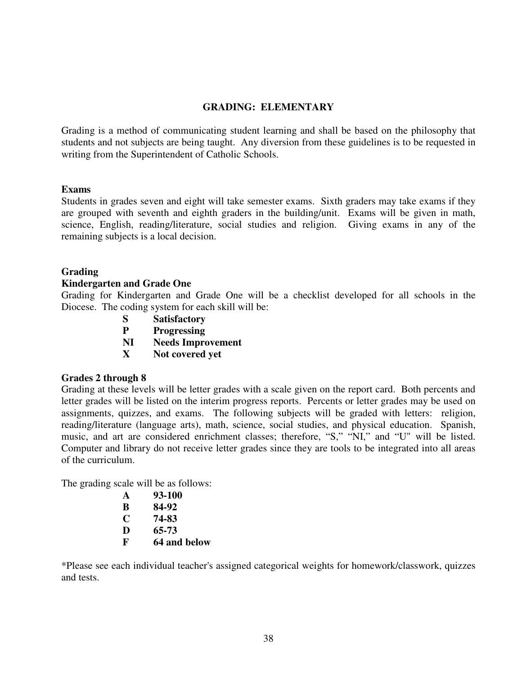# **GRADING: ELEMENTARY**

Grading is a method of communicating student learning and shall be based on the philosophy that students and not subjects are being taught. Any diversion from these guidelines is to be requested in writing from the Superintendent of Catholic Schools.

# **Exams**

Students in grades seven and eight will take semester exams. Sixth graders may take exams if they are grouped with seventh and eighth graders in the building/unit. Exams will be given in math, science, English, reading/literature, social studies and religion. Giving exams in any of the remaining subjects is a local decision.

# **Grading**

# **Kindergarten and Grade One**

Grading for Kindergarten and Grade One will be a checklist developed for all schools in the Diocese. The coding system for each skill will be:

- **S Satisfactory**
- **P Progressing**
- **NI Needs Improvement**
- **X Not covered yet**

# **Grades 2 through 8**

Grading at these levels will be letter grades with a scale given on the report card. Both percents and letter grades will be listed on the interim progress reports. Percents or letter grades may be used on assignments, quizzes, and exams. The following subjects will be graded with letters: religion, reading/literature (language arts), math, science, social studies, and physical education. Spanish, music, and art are considered enrichment classes; therefore, "S," "NI," and "U" will be listed. Computer and library do not receive letter grades since they are tools to be integrated into all areas of the curriculum.

The grading scale will be as follows:

| A | 93-100       |
|---|--------------|
| B | 84-92        |
| C | 74-83        |
| D | 65-73        |
| F | 64 and below |

\*Please see each individual teacher's assigned categorical weights for homework/classwork, quizzes and tests.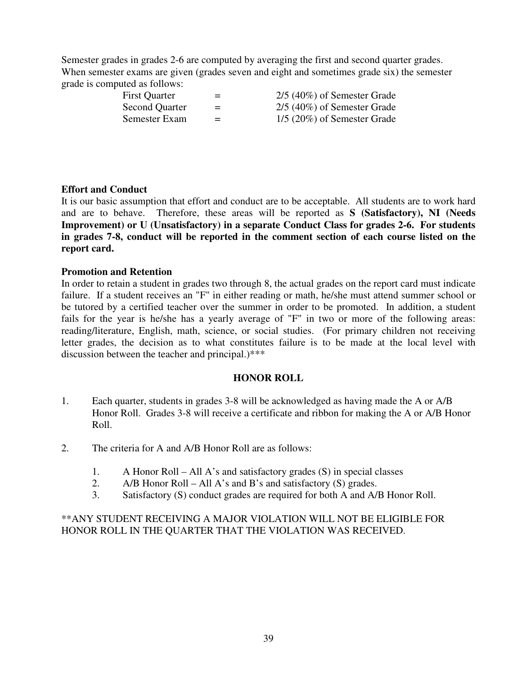Semester grades in grades 2-6 are computed by averaging the first and second quarter grades. When semester exams are given (grades seven and eight and sometimes grade six) the semester grade is computed as follows:

First Quarter  $= 2/5 (40\%)$  of Semester Grade Second Quarter  $=$  2/5 (40%) of Semester Grade<br>Semester Exam  $=$  1/5 (20%) of Semester Grade  $=$  1/5 (20%) of Semester Grade

# **Effort and Conduct**

It is our basic assumption that effort and conduct are to be acceptable. All students are to work hard and are to behave. Therefore, these areas will be reported as **S (Satisfactory), NI (Needs Improvement) or U (Unsatisfactory) in a separate Conduct Class for grades 2-6. For students in grades 7-8, conduct will be reported in the comment section of each course listed on the report card.** 

# **Promotion and Retention**

In order to retain a student in grades two through 8, the actual grades on the report card must indicate failure. If a student receives an "F" in either reading or math, he/she must attend summer school or be tutored by a certified teacher over the summer in order to be promoted. In addition, a student fails for the year is he/she has a yearly average of "F" in two or more of the following areas: reading/literature, English, math, science, or social studies. (For primary children not receiving letter grades, the decision as to what constitutes failure is to be made at the local level with discussion between the teacher and principal.)\*\*\*

# **HONOR ROLL**

- 1. Each quarter, students in grades 3-8 will be acknowledged as having made the A or A/B Honor Roll. Grades 3-8 will receive a certificate and ribbon for making the A or A/B Honor Roll.
- 2. The criteria for A and A/B Honor Roll are as follows:
	- 1. A Honor Roll All A's and satisfactory grades (S) in special classes
	- 2. A/B Honor Roll All A's and B's and satisfactory (S) grades.
	- 3. Satisfactory (S) conduct grades are required for both A and A/B Honor Roll.

# \*\*ANY STUDENT RECEIVING A MAJOR VIOLATION WILL NOT BE ELIGIBLE FOR HONOR ROLL IN THE QUARTER THAT THE VIOLATION WAS RECEIVED.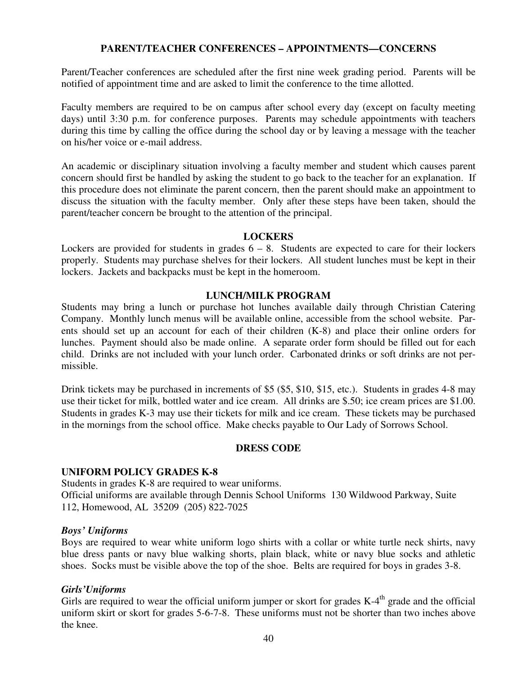# **PARENT/TEACHER CONFERENCES – APPOINTMENTS—CONCERNS**

Parent/Teacher conferences are scheduled after the first nine week grading period. Parents will be notified of appointment time and are asked to limit the conference to the time allotted.

Faculty members are required to be on campus after school every day (except on faculty meeting days) until 3:30 p.m. for conference purposes. Parents may schedule appointments with teachers during this time by calling the office during the school day or by leaving a message with the teacher on his/her voice or e-mail address.

An academic or disciplinary situation involving a faculty member and student which causes parent concern should first be handled by asking the student to go back to the teacher for an explanation. If this procedure does not eliminate the parent concern, then the parent should make an appointment to discuss the situation with the faculty member. Only after these steps have been taken, should the parent/teacher concern be brought to the attention of the principal.

### **LOCKERS**

Lockers are provided for students in grades  $6 - 8$ . Students are expected to care for their lockers properly. Students may purchase shelves for their lockers. All student lunches must be kept in their lockers. Jackets and backpacks must be kept in the homeroom.

# **LUNCH/MILK PROGRAM**

Students may bring a lunch or purchase hot lunches available daily through Christian Catering Company. Monthly lunch menus will be available online, accessible from the school website. Parents should set up an account for each of their children (K-8) and place their online orders for lunches. Payment should also be made online. A separate order form should be filled out for each child. Drinks are not included with your lunch order. Carbonated drinks or soft drinks are not permissible.

Drink tickets may be purchased in increments of \$5 (\$5, \$10, \$15, etc.). Students in grades 4-8 may use their ticket for milk, bottled water and ice cream. All drinks are \$.50; ice cream prices are \$1.00. Students in grades K-3 may use their tickets for milk and ice cream. These tickets may be purchased in the mornings from the school office. Make checks payable to Our Lady of Sorrows School.

# **DRESS CODE**

# **UNIFORM POLICY GRADES K-8**

Students in grades K-8 are required to wear uniforms. Official uniforms are available through Dennis School Uniforms 130 Wildwood Parkway, Suite 112, Homewood, AL 35209 (205) 822-7025

#### *Boys' Uniforms*

Boys are required to wear white uniform logo shirts with a collar or white turtle neck shirts, navy blue dress pants or navy blue walking shorts, plain black, white or navy blue socks and athletic shoes. Socks must be visible above the top of the shoe. Belts are required for boys in grades 3-8.

# *Girls'Uniforms*

Girls are required to wear the official uniform jumper or skort for grades  $K-4<sup>th</sup>$  grade and the official uniform skirt or skort for grades 5-6-7-8. These uniforms must not be shorter than two inches above the knee.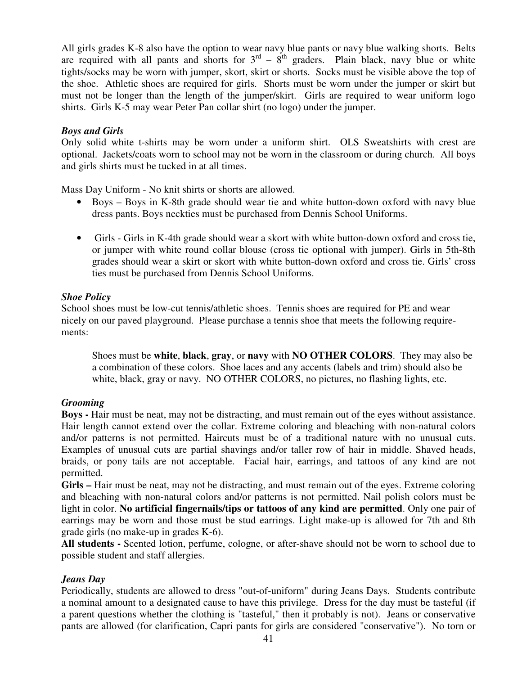All girls grades K-8 also have the option to wear navy blue pants or navy blue walking shorts. Belts are required with all pants and shorts for  $3<sup>rd</sup> - 8<sup>th</sup>$  graders. Plain black, navy blue or white tights/socks may be worn with jumper, skort, skirt or shorts. Socks must be visible above the top of the shoe. Athletic shoes are required for girls. Shorts must be worn under the jumper or skirt but must not be longer than the length of the jumper/skirt. Girls are required to wear uniform logo shirts. Girls K-5 may wear Peter Pan collar shirt (no logo) under the jumper.

# *Boys and Girls*

Only solid white t-shirts may be worn under a uniform shirt. OLS Sweatshirts with crest are optional. Jackets/coats worn to school may not be worn in the classroom or during church. All boys and girls shirts must be tucked in at all times.

Mass Day Uniform - No knit shirts or shorts are allowed.

- Boys Boys in K-8th grade should wear tie and white button-down oxford with navy blue dress pants. Boys neckties must be purchased from Dennis School Uniforms.
- Girls Girls in K-4th grade should wear a skort with white button-down oxford and cross tie, or jumper with white round collar blouse (cross tie optional with jumper). Girls in 5th-8th grades should wear a skirt or skort with white button-down oxford and cross tie. Girls' cross ties must be purchased from Dennis School Uniforms.

# *Shoe Policy*

School shoes must be low-cut tennis/athletic shoes. Tennis shoes are required for PE and wear nicely on our paved playground. Please purchase a tennis shoe that meets the following requirements:

Shoes must be **white**, **black**, **gray**, or **navy** with **NO OTHER COLORS**. They may also be a combination of these colors. Shoe laces and any accents (labels and trim) should also be white, black, gray or navy. NO OTHER COLORS, no pictures, no flashing lights, etc.

# *Grooming*

**Boys -** Hair must be neat, may not be distracting, and must remain out of the eyes without assistance. Hair length cannot extend over the collar. Extreme coloring and bleaching with non-natural colors and/or patterns is not permitted. Haircuts must be of a traditional nature with no unusual cuts. Examples of unusual cuts are partial shavings and/or taller row of hair in middle. Shaved heads, braids, or pony tails are not acceptable. Facial hair, earrings, and tattoos of any kind are not permitted.

**Girls –** Hair must be neat, may not be distracting, and must remain out of the eyes. Extreme coloring and bleaching with non-natural colors and/or patterns is not permitted. Nail polish colors must be light in color. **No artificial fingernails/tips or tattoos of any kind are permitted**. Only one pair of earrings may be worn and those must be stud earrings. Light make-up is allowed for 7th and 8th grade girls (no make-up in grades K-6).

**All students -** Scented lotion, perfume, cologne, or after-shave should not be worn to school due to possible student and staff allergies.

# *Jeans Day*

Periodically, students are allowed to dress "out-of-uniform" during Jeans Days. Students contribute a nominal amount to a designated cause to have this privilege. Dress for the day must be tasteful (if a parent questions whether the clothing is "tasteful," then it probably is not). Jeans or conservative pants are allowed (for clarification, Capri pants for girls are considered "conservative"). No torn or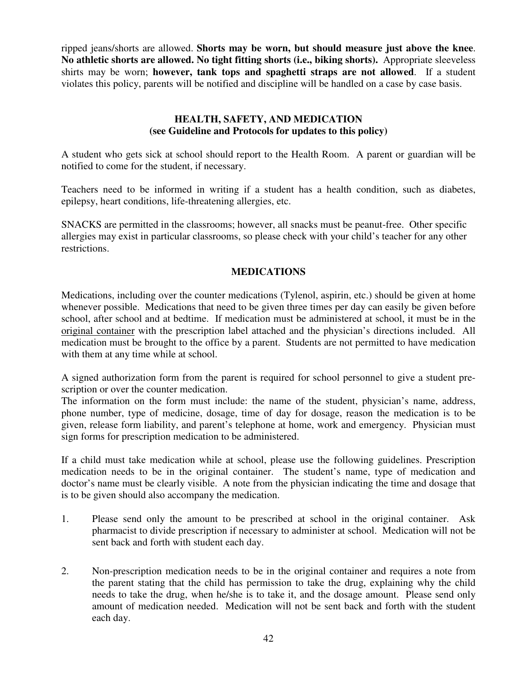ripped jeans/shorts are allowed. **Shorts may be worn, but should measure just above the knee**. **No athletic shorts are allowed. No tight fitting shorts (i.e., biking shorts).** Appropriate sleeveless shirts may be worn; **however, tank tops and spaghetti straps are not allowed**. If a student violates this policy, parents will be notified and discipline will be handled on a case by case basis.

# **HEALTH, SAFETY, AND MEDICATION (see Guideline and Protocols for updates to this policy)**

A student who gets sick at school should report to the Health Room. A parent or guardian will be notified to come for the student, if necessary.

Teachers need to be informed in writing if a student has a health condition, such as diabetes, epilepsy, heart conditions, life-threatening allergies, etc.

SNACKS are permitted in the classrooms; however, all snacks must be peanut-free. Other specific allergies may exist in particular classrooms, so please check with your child's teacher for any other restrictions.

# **MEDICATIONS**

Medications, including over the counter medications (Tylenol, aspirin, etc.) should be given at home whenever possible. Medications that need to be given three times per day can easily be given before school, after school and at bedtime. If medication must be administered at school, it must be in the original container with the prescription label attached and the physician's directions included. All medication must be brought to the office by a parent. Students are not permitted to have medication with them at any time while at school.

A signed authorization form from the parent is required for school personnel to give a student prescription or over the counter medication.

The information on the form must include: the name of the student, physician's name, address, phone number, type of medicine, dosage, time of day for dosage, reason the medication is to be given, release form liability, and parent's telephone at home, work and emergency. Physician must sign forms for prescription medication to be administered.

If a child must take medication while at school, please use the following guidelines. Prescription medication needs to be in the original container. The student's name, type of medication and doctor's name must be clearly visible. A note from the physician indicating the time and dosage that is to be given should also accompany the medication.

- 1. Please send only the amount to be prescribed at school in the original container. Ask pharmacist to divide prescription if necessary to administer at school. Medication will not be sent back and forth with student each day.
- 2. Non-prescription medication needs to be in the original container and requires a note from the parent stating that the child has permission to take the drug, explaining why the child needs to take the drug, when he/she is to take it, and the dosage amount. Please send only amount of medication needed. Medication will not be sent back and forth with the student each day.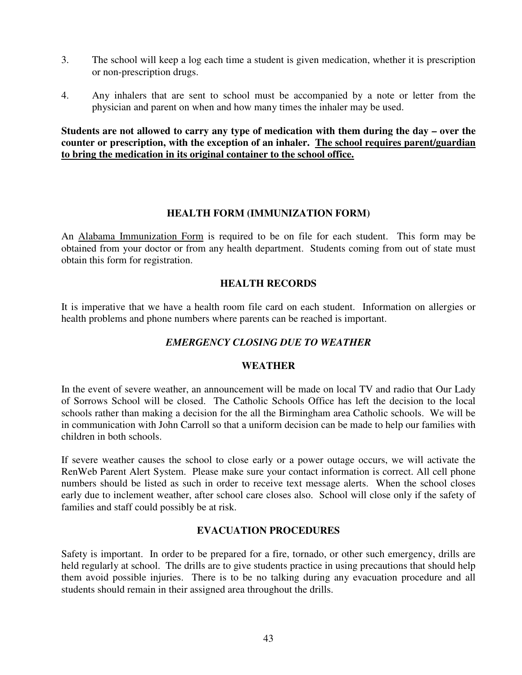- 3. The school will keep a log each time a student is given medication, whether it is prescription or non-prescription drugs.
- 4. Any inhalers that are sent to school must be accompanied by a note or letter from the physician and parent on when and how many times the inhaler may be used.

**Students are not allowed to carry any type of medication with them during the day – over the counter or prescription, with the exception of an inhaler. The school requires parent/guardian to bring the medication in its original container to the school office.**

# **HEALTH FORM (IMMUNIZATION FORM)**

An Alabama Immunization Form is required to be on file for each student. This form may be obtained from your doctor or from any health department. Students coming from out of state must obtain this form for registration.

# **HEALTH RECORDS**

It is imperative that we have a health room file card on each student. Information on allergies or health problems and phone numbers where parents can be reached is important.

# *EMERGENCY CLOSING DUE TO WEATHER*

# **WEATHER**

In the event of severe weather, an announcement will be made on local TV and radio that Our Lady of Sorrows School will be closed. The Catholic Schools Office has left the decision to the local schools rather than making a decision for the all the Birmingham area Catholic schools. We will be in communication with John Carroll so that a uniform decision can be made to help our families with children in both schools.

If severe weather causes the school to close early or a power outage occurs, we will activate the RenWeb Parent Alert System. Please make sure your contact information is correct. All cell phone numbers should be listed as such in order to receive text message alerts. When the school closes early due to inclement weather, after school care closes also. School will close only if the safety of families and staff could possibly be at risk.

# **EVACUATION PROCEDURES**

Safety is important. In order to be prepared for a fire, tornado, or other such emergency, drills are held regularly at school. The drills are to give students practice in using precautions that should help them avoid possible injuries. There is to be no talking during any evacuation procedure and all students should remain in their assigned area throughout the drills.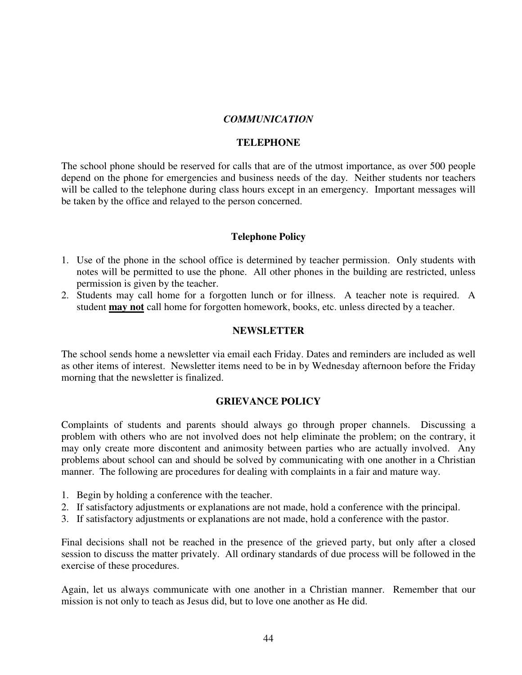### *COMMUNICATION*

### **TELEPHONE**

The school phone should be reserved for calls that are of the utmost importance, as over 500 people depend on the phone for emergencies and business needs of the day. Neither students nor teachers will be called to the telephone during class hours except in an emergency. Important messages will be taken by the office and relayed to the person concerned.

### **Telephone Policy**

- 1. Use of the phone in the school office is determined by teacher permission. Only students with notes will be permitted to use the phone. All other phones in the building are restricted, unless permission is given by the teacher.
- 2. Students may call home for a forgotten lunch or for illness. A teacher note is required. A student **may not** call home for forgotten homework, books, etc. unless directed by a teacher.

### **NEWSLETTER**

The school sends home a newsletter via email each Friday. Dates and reminders are included as well as other items of interest. Newsletter items need to be in by Wednesday afternoon before the Friday morning that the newsletter is finalized.

#### **GRIEVANCE POLICY**

Complaints of students and parents should always go through proper channels. Discussing a problem with others who are not involved does not help eliminate the problem; on the contrary, it may only create more discontent and animosity between parties who are actually involved. Any problems about school can and should be solved by communicating with one another in a Christian manner. The following are procedures for dealing with complaints in a fair and mature way.

- 1. Begin by holding a conference with the teacher.
- 2. If satisfactory adjustments or explanations are not made, hold a conference with the principal.
- 3. If satisfactory adjustments or explanations are not made, hold a conference with the pastor.

Final decisions shall not be reached in the presence of the grieved party, but only after a closed session to discuss the matter privately. All ordinary standards of due process will be followed in the exercise of these procedures.

Again, let us always communicate with one another in a Christian manner. Remember that our mission is not only to teach as Jesus did, but to love one another as He did.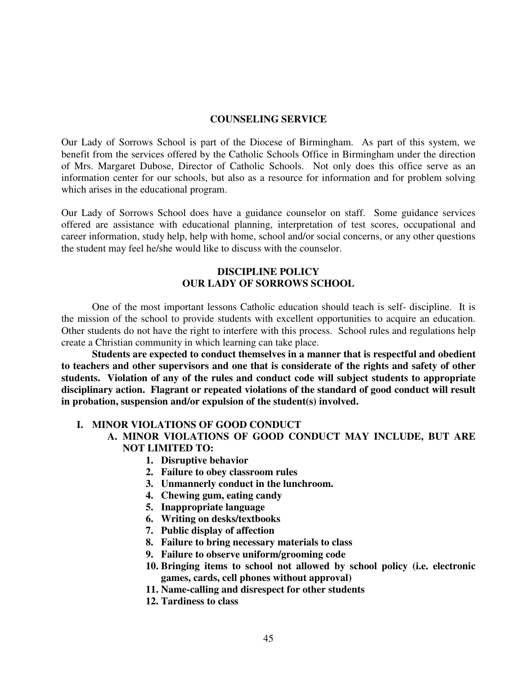#### **COUNSELING SERVICE**

Our Lady of Sorrows School is part of the Diocese of Birmingham. As part of this system, we benefit from the services offered by the Catholic Schools Office in Birmingham under the direction of Mrs. Margaret Dubose, Director of Catholic Schools. Not only does this office serve as an information center for our schools, but also as a resource for information and for problem solving which arises in the educational program.

Our Lady of Sorrows School does have a guidance counselor on staff. Some guidance services offered are assistance with educational planning, interpretation of test scores, occupational and career information, study help, help with home, school and/or social concerns, or any other questions the student may feel he/she would like to discuss with the counselor.

### **DISCIPLINE POLICY OUR LADY OF SORROWS SCHOOL**

 One of the most important lessons Catholic education should teach is self- discipline. It is the mission of the school to provide students with excellent opportunities to acquire an education. Other students do not have the right to interfere with this process. School rules and regulations help create a Christian community in which learning can take place.

 **Students are expected to conduct themselves in a manner that is respectful and obedient to teachers and other supervisors and one that is considerate of the rights and safety of other students. Violation of any of the rules and conduct code will subject students to appropriate disciplinary action. Flagrant or repeated violations of the standard of good conduct will result in probation, suspension and/or expulsion of the student(s) involved.** 

#### **I. MINOR VIOLATIONS OF GOOD CONDUCT**

# **A. MINOR VIOLATIONS OF GOOD CONDUCT MAY INCLUDE, BUT ARE NOT LIMITED TO:**

- **1. Disruptive behavior**
- **2. Failure to obey classroom rules**
- **3. Unmannerly conduct in the lunchroom.**
- **4. Chewing gum, eating candy**
- **5. Inappropriate language**
- **6. Writing on desks/textbooks**
- **7. Public display of affection**
- **8. Failure to bring necessary materials to class**
- **9. Failure to observe uniform/grooming code**
- **10. Bringing items to school not allowed by school policy (i.e. electronic games, cards, cell phones without approval)**
- **11. Name-calling and disrespect for other students**
- **12. Tardiness to class**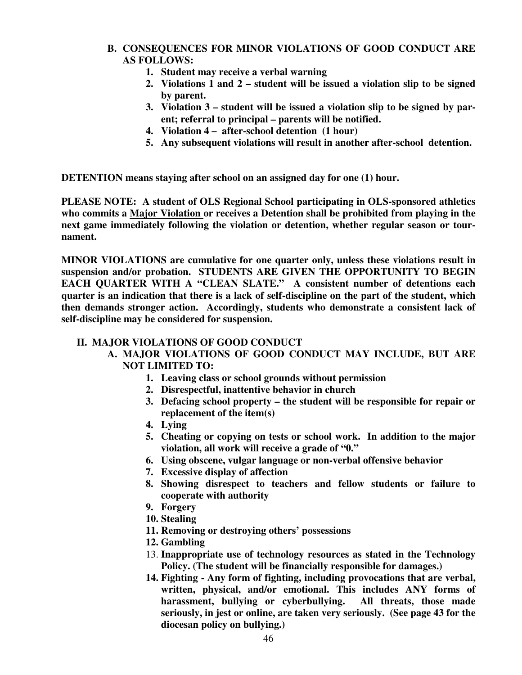# **B. CONSEQUENCES FOR MINOR VIOLATIONS OF GOOD CONDUCT ARE AS FOLLOWS:**

- **1. Student may receive a verbal warning**
- **2. Violations 1 and 2 student will be issued a violation slip to be signed by parent.**
- **3. Violation 3 student will be issued a violation slip to be signed by parent; referral to principal – parents will be notified.**
- **4. Violation 4 after-school detention (1 hour)**
- **5. Any subsequent violations will result in another after-school detention.**

**DETENTION means staying after school on an assigned day for one (1) hour.** 

**PLEASE NOTE: A student of OLS Regional School participating in OLS-sponsored athletics who commits a Major Violation or receives a Detention shall be prohibited from playing in the next game immediately following the violation or detention, whether regular season or tournament.** 

**MINOR VIOLATIONS are cumulative for one quarter only, unless these violations result in suspension and/or probation. STUDENTS ARE GIVEN THE OPPORTUNITY TO BEGIN EACH QUARTER WITH A "CLEAN SLATE." A consistent number of detentions each quarter is an indication that there is a lack of self-discipline on the part of the student, which then demands stronger action. Accordingly, students who demonstrate a consistent lack of self-discipline may be considered for suspension.** 

# **II. MAJOR VIOLATIONS OF GOOD CONDUCT**

# **A. MAJOR VIOLATIONS OF GOOD CONDUCT MAY INCLUDE, BUT ARE NOT LIMITED TO:**

- **1. Leaving class or school grounds without permission**
- **2. Disrespectful, inattentive behavior in church**
- **3. Defacing school property the student will be responsible for repair or replacement of the item(s)**
- **4. Lying**
- **5. Cheating or copying on tests or school work. In addition to the major violation, all work will receive a grade of "0."**
- **6. Using obscene, vulgar language or non-verbal offensive behavior**
- **7. Excessive display of affection**
- **8. Showing disrespect to teachers and fellow students or failure to cooperate with authority**
- **9. Forgery**
- **10. Stealing**
- **11. Removing or destroying others' possessions**
- **12. Gambling**
- 13. **Inappropriate use of technology resources as stated in the Technology Policy. (The student will be financially responsible for damages.)**
- **14. Fighting Any form of fighting, including provocations that are verbal, written, physical, and/or emotional. This includes ANY forms of harassment, bullying or cyberbullying. All threats, those made seriously, in jest or online, are taken very seriously. (See page 43 for the diocesan policy on bullying.)**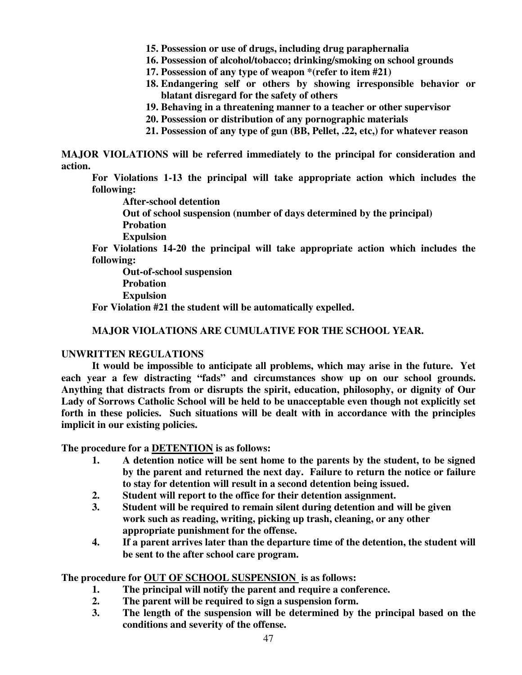**15. Possession or use of drugs, including drug paraphernalia** 

- **16. Possession of alcohol/tobacco; drinking/smoking on school grounds**
- **17. Possession of any type of weapon \*(refer to item #21)**
- **18. Endangering self or others by showing irresponsible behavior or blatant disregard for the safety of others**
- **19. Behaving in a threatening manner to a teacher or other supervisor**
- **20. Possession or distribution of any pornographic materials**
- **21. Possession of any type of gun (BB, Pellet, .22, etc,) for whatever reason**

**MAJOR VIOLATIONS will be referred immediately to the principal for consideration and action.** 

**For Violations 1-13 the principal will take appropriate action which includes the following:** 

 **After-school detention** 

 **Out of school suspension (number of days determined by the principal) Probation** 

 **Expulsion** 

**For Violations 14-20 the principal will take appropriate action which includes the following:** 

 **Out-of-school suspension Probation Expulsion** 

**For Violation #21 the student will be automatically expelled.** 

### **MAJOR VIOLATIONS ARE CUMULATIVE FOR THE SCHOOL YEAR.**

#### **UNWRITTEN REGULATIONS**

 **It would be impossible to anticipate all problems, which may arise in the future. Yet each year a few distracting "fads" and circumstances show up on our school grounds. Anything that distracts from or disrupts the spirit, education, philosophy, or dignity of Our Lady of Sorrows Catholic School will be held to be unacceptable even though not explicitly set forth in these policies. Such situations will be dealt with in accordance with the principles implicit in our existing policies.** 

**The procedure for a DETENTION is as follows:** 

- **1. A detention notice will be sent home to the parents by the student, to be signed by the parent and returned the next day. Failure to return the notice or failure to stay for detention will result in a second detention being issued.**
- **2. Student will report to the office for their detention assignment.**
- **3. Student will be required to remain silent during detention and will be given work such as reading, writing, picking up trash, cleaning, or any other appropriate punishment for the offense.**
- **4. If a parent arrives later than the departure time of the detention, the student will be sent to the after school care program.**

**The procedure for OUT OF SCHOOL SUSPENSION is as follows:** 

- **1. The principal will notify the parent and require a conference.**
- **2. The parent will be required to sign a suspension form.**
- **3. The length of the suspension will be determined by the principal based on the conditions and severity of the offense.**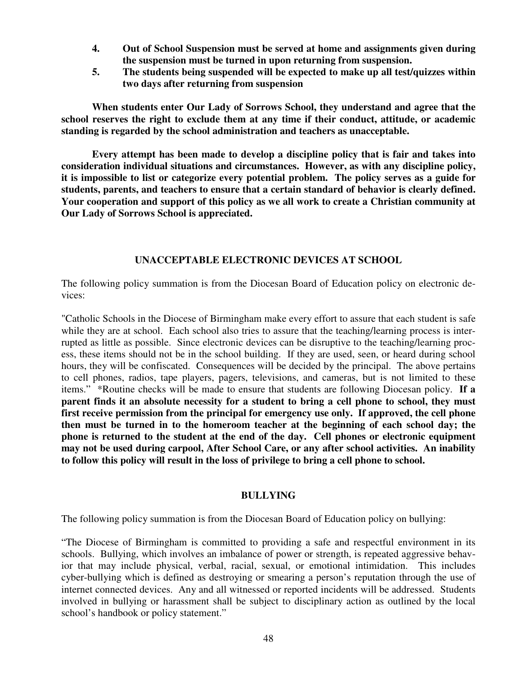- **4. Out of School Suspension must be served at home and assignments given during the suspension must be turned in upon returning from suspension.**
- **5. The students being suspended will be expected to make up all test/quizzes within two days after returning from suspension**

**When students enter Our Lady of Sorrows School, they understand and agree that the school reserves the right to exclude them at any time if their conduct, attitude, or academic standing is regarded by the school administration and teachers as unacceptable.** 

**Every attempt has been made to develop a discipline policy that is fair and takes into consideration individual situations and circumstances. However, as with any discipline policy, it is impossible to list or categorize every potential problem. The policy serves as a guide for students, parents, and teachers to ensure that a certain standard of behavior is clearly defined. Your cooperation and support of this policy as we all work to create a Christian community at Our Lady of Sorrows School is appreciated.** 

# **UNACCEPTABLE ELECTRONIC DEVICES AT SCHOOL**

The following policy summation is from the Diocesan Board of Education policy on electronic devices:

"Catholic Schools in the Diocese of Birmingham make every effort to assure that each student is safe while they are at school. Each school also tries to assure that the teaching/learning process is interrupted as little as possible. Since electronic devices can be disruptive to the teaching/learning process, these items should not be in the school building. If they are used, seen, or heard during school hours, they will be confiscated. Consequences will be decided by the principal. The above pertains to cell phones, radios, tape players, pagers, televisions, and cameras, but is not limited to these items." \*Routine checks will be made to ensure that students are following Diocesan policy. **If a parent finds it an absolute necessity for a student to bring a cell phone to school, they must first receive permission from the principal for emergency use only. If approved, the cell phone then must be turned in to the homeroom teacher at the beginning of each school day; the phone is returned to the student at the end of the day. Cell phones or electronic equipment may not be used during carpool, After School Care, or any after school activities. An inability to follow this policy will result in the loss of privilege to bring a cell phone to school.** 

# **BULLYING**

The following policy summation is from the Diocesan Board of Education policy on bullying:

"The Diocese of Birmingham is committed to providing a safe and respectful environment in its schools. Bullying, which involves an imbalance of power or strength, is repeated aggressive behavior that may include physical, verbal, racial, sexual, or emotional intimidation. This includes cyber-bullying which is defined as destroying or smearing a person's reputation through the use of internet connected devices. Any and all witnessed or reported incidents will be addressed. Students involved in bullying or harassment shall be subject to disciplinary action as outlined by the local school's handbook or policy statement."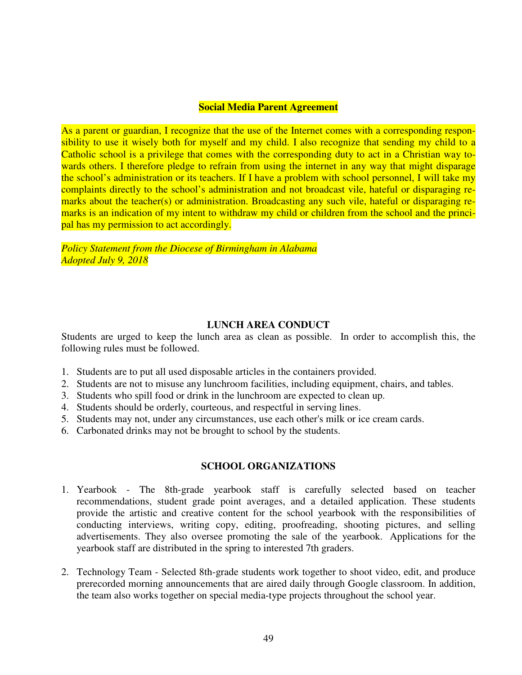# **Social Media Parent Agreement**

As a parent or guardian, I recognize that the use of the Internet comes with a corresponding responsibility to use it wisely both for myself and my child. I also recognize that sending my child to a Catholic school is a privilege that comes with the corresponding duty to act in a Christian way towards others. I therefore pledge to refrain from using the internet in any way that might disparage the school's administration or its teachers. If I have a problem with school personnel, I will take my complaints directly to the school's administration and not broadcast vile, hateful or disparaging remarks about the teacher(s) or administration. Broadcasting any such vile, hateful or disparaging remarks is an indication of my intent to withdraw my child or children from the school and the principal has my permission to act accordingly.

*Policy Statement from the Diocese of Birmingham in Alabama Adopted July 9, 2018*

# **LUNCH AREA CONDUCT**

Students are urged to keep the lunch area as clean as possible. In order to accomplish this, the following rules must be followed.

- 1. Students are to put all used disposable articles in the containers provided.
- 2. Students are not to misuse any lunchroom facilities, including equipment, chairs, and tables.
- 3. Students who spill food or drink in the lunchroom are expected to clean up.
- 4. Students should be orderly, courteous, and respectful in serving lines.
- 5. Students may not, under any circumstances, use each other's milk or ice cream cards.
- 6. Carbonated drinks may not be brought to school by the students.

# **SCHOOL ORGANIZATIONS**

- 1. Yearbook The 8th-grade yearbook staff is carefully selected based on teacher recommendations, student grade point averages, and a detailed application. These students provide the artistic and creative content for the school yearbook with the responsibilities of conducting interviews, writing copy, editing, proofreading, shooting pictures, and selling advertisements. They also oversee promoting the sale of the yearbook. Applications for the yearbook staff are distributed in the spring to interested 7th graders.
- 2. Technology Team Selected 8th-grade students work together to shoot video, edit, and produce prerecorded morning announcements that are aired daily through Google classroom. In addition, the team also works together on special media-type projects throughout the school year.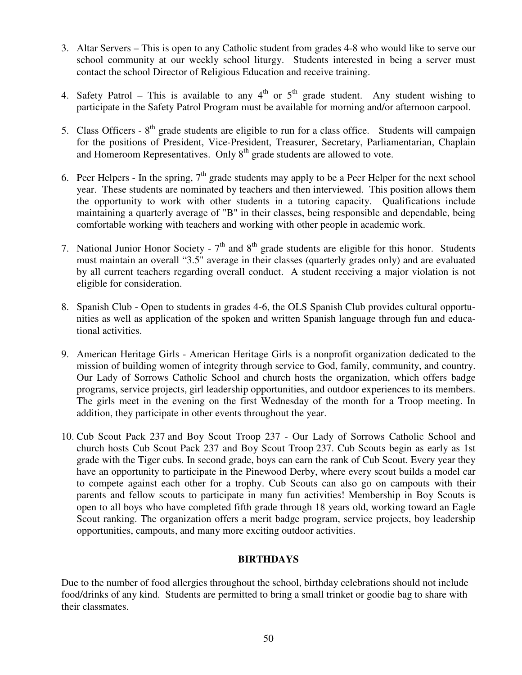- 3. Altar Servers This is open to any Catholic student from grades 4-8 who would like to serve our school community at our weekly school liturgy. Students interested in being a server must contact the school Director of Religious Education and receive training.
- 4. Safety Patrol This is available to any  $4<sup>th</sup>$  or  $5<sup>th</sup>$  grade student. Any student wishing to participate in the Safety Patrol Program must be available for morning and/or afternoon carpool.
- 5. Class Officers  $8<sup>th</sup>$  grade students are eligible to run for a class office. Students will campaign for the positions of President, Vice-President, Treasurer, Secretary, Parliamentarian, Chaplain and Homeroom Representatives. Only  $8<sup>th</sup>$  grade students are allowed to vote.
- 6. Peer Helpers In the spring,  $7<sup>th</sup>$  grade students may apply to be a Peer Helper for the next school year. These students are nominated by teachers and then interviewed. This position allows them the opportunity to work with other students in a tutoring capacity. Qualifications include maintaining a quarterly average of "B" in their classes, being responsible and dependable, being comfortable working with teachers and working with other people in academic work.
- 7. National Junior Honor Society  $7<sup>th</sup>$  and  $8<sup>th</sup>$  grade students are eligible for this honor. Students must maintain an overall "3.5" average in their classes (quarterly grades only) and are evaluated by all current teachers regarding overall conduct. A student receiving a major violation is not eligible for consideration.
- 8. Spanish Club Open to students in grades 4-6, the OLS Spanish Club provides cultural opportunities as well as application of the spoken and written Spanish language through fun and educational activities.
- 9. American Heritage Girls American Heritage Girls is a nonprofit organization dedicated to the mission of building women of integrity through service to God, family, community, and country. Our Lady of Sorrows Catholic School and church hosts the organization, which offers badge programs, service projects, girl leadership opportunities, and outdoor experiences to its members. The girls meet in the evening on the first Wednesday of the month for a Troop meeting. In addition, they participate in other events throughout the year.
- 10. Cub Scout Pack 237 and Boy Scout Troop 237 Our Lady of Sorrows Catholic School and church hosts Cub Scout Pack 237 and Boy Scout Troop 237. Cub Scouts begin as early as 1st grade with the Tiger cubs. In second grade, boys can earn the rank of Cub Scout. Every year they have an opportunity to participate in the Pinewood Derby, where every scout builds a model car to compete against each other for a trophy. Cub Scouts can also go on campouts with their parents and fellow scouts to participate in many fun activities! Membership in Boy Scouts is open to all boys who have completed fifth grade through 18 years old, working toward an Eagle Scout ranking. The organization offers a merit badge program, service projects, boy leadership opportunities, campouts, and many more exciting outdoor activities.

# **BIRTHDAYS**

Due to the number of food allergies throughout the school, birthday celebrations should not include food/drinks of any kind. Students are permitted to bring a small trinket or goodie bag to share with their classmates.